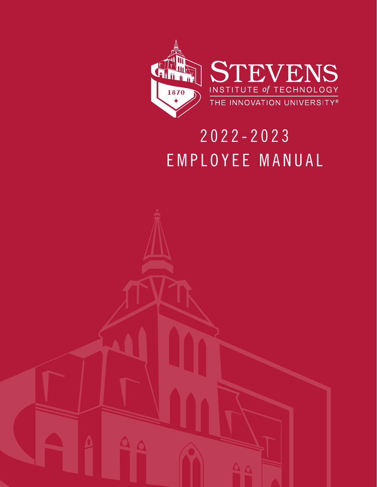



## 2022-2023 EMPLOYEE MANUAL

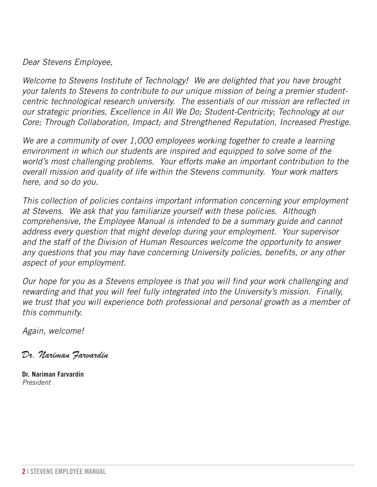#### *Dear Stevens Employee,*

*Welcome to Stevens Institute of Technology! We are delighted that you have brought your talents to Stevens to contribute to our unique mission of being a premier studentcentric technological research university. The essentials of our mission are reflected in our strategic priorities, Excellence in All We Do; Student-Centricity; Technology at our Core; Through Collaboration, Impact; and Strengthened Reputation, Increased Prestige.*

*We are a community of over 1,000 employees working together to create a learning environment in which our students are inspired and equipped to solve some of the world's most challenging problems. Your efforts make an important contribution to the overall mission and quality of life within the Stevens community. Your work matters here, and so do you.*

*This collection of policies contains important information concerning your employment at Stevens. We ask that you familiarize yourself with these policies. Although comprehensive, the Employee Manual is intended to be a summary guide and cannot address every question that might develop during your employment. Your supervisor and the staff of the Division of Human Resources welcome the opportunity to answer any questions that you may have concerning University policies, benefits, or any other aspect of your employment.*

*Our hope for you as a Stevens employee is that you will find your work challenging and rewarding and that you will feel fully integrated into the University's mission. Finally, we trust that you will experience both professional and personal growth as a member of this community.*

*Again, welcome!*

Dr. Nariman Farvardin

**Dr. Nariman Farvardin** *President*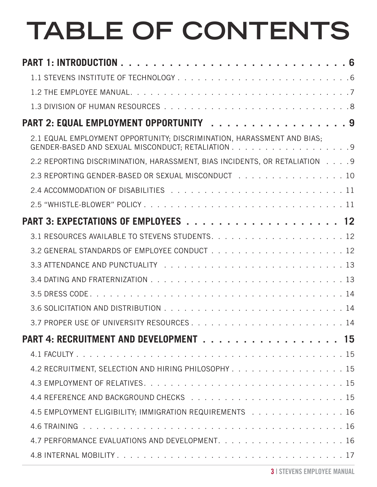# **TABLE OF CONTENTS**

| PART 2: EQUAL EMPLOYMENT OPPORTUNITY 9                                     |
|----------------------------------------------------------------------------|
| 2.1 EQUAL EMPLOYMENT OPPORTUNITY; DISCRIMINATION, HARASSMENT AND BIAS;     |
| 2.2 REPORTING DISCRIMINATION, HARASSMENT, BIAS INCIDENTS, OR RETALIATION 9 |
| 2.3 REPORTING GENDER-BASED OR SEXUAL MISCONDUCT 10                         |
|                                                                            |
|                                                                            |
|                                                                            |
|                                                                            |
|                                                                            |
|                                                                            |
|                                                                            |
|                                                                            |
|                                                                            |
|                                                                            |
| PART 4: RECRUITMENT AND DEVELOPMENT 15                                     |
|                                                                            |
| 4.2 RECRUITMENT, SELECTION AND HIRING PHILOSOPHY 15                        |
|                                                                            |
|                                                                            |
| 4.5 EMPLOYMENT ELIGIBILITY; IMMIGRATION REQUIREMENTS 16                    |
|                                                                            |
|                                                                            |
|                                                                            |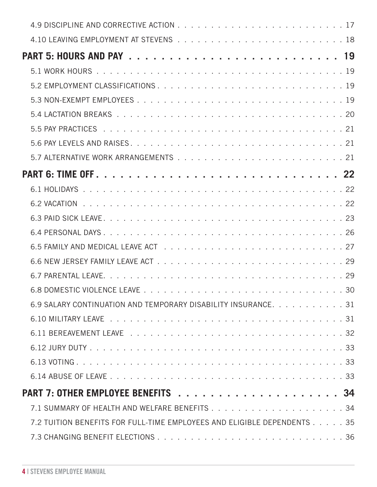| 6.9 SALARY CONTINUATION AND TEMPORARY DISABILITY INSURANCE. 31          |
|-------------------------------------------------------------------------|
|                                                                         |
|                                                                         |
|                                                                         |
|                                                                         |
|                                                                         |
|                                                                         |
|                                                                         |
| 7.2 TUITION BENEFITS FOR FULL-TIME EMPLOYEES AND ELIGIBLE DEPENDENTS 35 |
|                                                                         |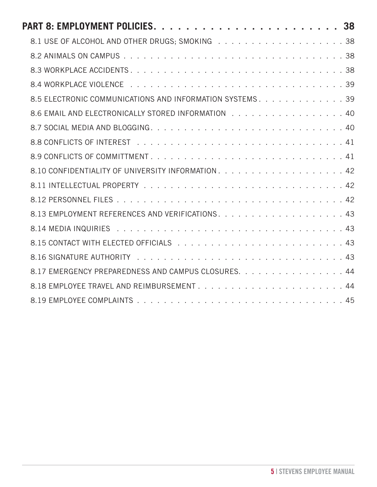| 8.5 ELECTRONIC COMMUNICATIONS AND INFORMATION SYSTEMS. 39 |
|-----------------------------------------------------------|
| 8.6 EMAIL AND ELECTRONICALLY STORED INFORMATION 40        |
|                                                           |
|                                                           |
|                                                           |
|                                                           |
|                                                           |
|                                                           |
|                                                           |
|                                                           |
|                                                           |
|                                                           |
| 8.17 EMERGENCY PREPAREDNESS AND CAMPUS CLOSURES. 44       |
|                                                           |
|                                                           |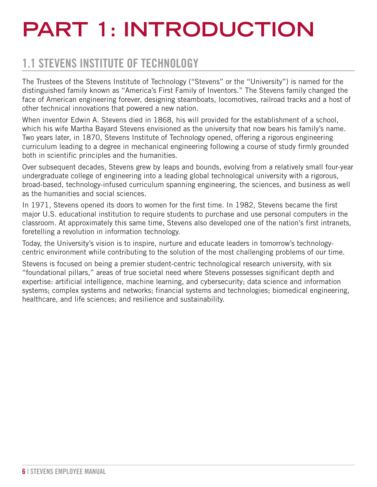# <span id="page-5-0"></span>**PART 1: INTRODUCTION**

### 1.1 STEVENS INSTITUTE OF TECHNOLOGY

The Trustees of the Stevens Institute of Technology ("Stevens" or the "University") is named for the distinguished family known as "America's First Family of Inventors." The Stevens family changed the face of American engineering forever, designing steamboats, locomotives, railroad tracks and a host of other technical innovations that powered a new nation.

When inventor Edwin A. Stevens died in 1868, his will provided for the establishment of a school, which his wife Martha Bayard Stevens envisioned as the university that now bears his family's name. Two years later, in 1870, Stevens Institute of Technology opened, offering a rigorous engineering curriculum leading to a degree in mechanical engineering following a course of study firmly grounded both in scientific principles and the humanities.

Over subsequent decades, Stevens grew by leaps and bounds, evolving from a relatively small four-year undergraduate college of engineering into a leading global technological university with a rigorous, broad-based, technology-infused curriculum spanning engineering, the sciences, and business as well as the humanities and social sciences.

In 1971, Stevens opened its doors to women for the first time. In 1982, Stevens became the first major U.S. educational institution to require students to purchase and use personal computers in the classroom. At approximately this same time, Stevens also developed one of the nation's first intranets, foretelling a revolution in information technology.

Today, the University's vision is to inspire, nurture and educate leaders in tomorrow's technologycentric environment while contributing to the solution of the most challenging problems of our time.

Stevens is focused on being a premier student-centric technological research university, with six "foundational pillars," areas of true societal need where Stevens possesses significant depth and expertise: artificial intelligence, machine learning, and cybersecurity; data science and information systems; complex systems and networks; financial systems and technologies; biomedical engineering, healthcare, and life sciences; and resilience and sustainability.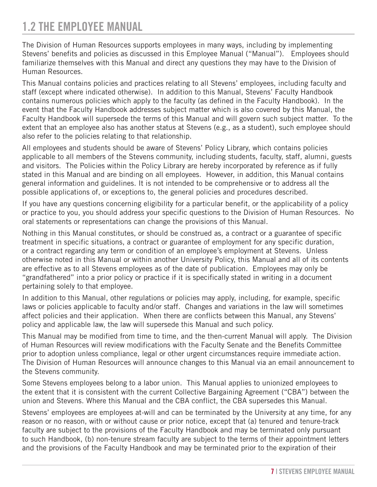### <span id="page-6-0"></span>1.2 THE EMPLOYEE MANUAL

The Division of Human Resources supports employees in many ways, including by implementing Stevens' benefits and policies as discussed in this Employee Manual ("Manual"). Employees should familiarize themselves with this Manual and direct any questions they may have to the Division of Human Resources.

This Manual contains policies and practices relating to all Stevens' employees, including faculty and staff (except where indicated otherwise). In addition to this Manual, Stevens' Faculty Handbook contains numerous policies which apply to the faculty (as defined in the Faculty Handbook). In the event that the Faculty Handbook addresses subject matter which is also covered by this Manual, the Faculty Handbook will supersede the terms of this Manual and will govern such subject matter. To the extent that an employee also has another status at Stevens (e.g., as a student), such employee should also refer to the policies relating to that relationship.

All employees and students should be aware of [Stevens' Policy Library](https://www.stevens.edu/about-stevens/university-policy-library), which contains policies applicable to all members of the Stevens community, including students, faculty, staff, alumni, guests and visitors. The Policies within the Policy Library are hereby incorporated by reference as if fully stated in this Manual and are binding on all employees. However, in addition, this Manual contains general information and guidelines. It is not intended to be comprehensive or to address all the possible applications of, or exceptions to, the general policies and procedures described.

If you have any questions concerning eligibility for a particular benefit, or the applicability of a policy or practice to you, you should address your specific questions to the Division of Human Resources. No oral statements or representations can change the provisions of this Manual.

Nothing in this Manual constitutes, or should be construed as, a contract or a guarantee of specific treatment in specific situations, a contract or guarantee of employment for any specific duration, or a contract regarding any term or condition of an employee's employment at Stevens. Unless otherwise noted in this Manual or within another University Policy, this Manual and all of its contents are effective as to all Stevens employees as of the date of publication. Employees may only be "grandfathered" into a prior policy or practice if it is specifically stated in writing in a document pertaining solely to that employee.

In addition to this Manual, other regulations or policies may apply, including, for example, specific laws or policies applicable to faculty and/or staff. Changes and variations in the law will sometimes affect policies and their application. When there are conflicts between this Manual, any Stevens' policy and applicable law, the law will supersede this Manual and such policy.

This Manual may be modified from time to time, and the then-current Manual will apply. The Division of Human Resources will review modifications with the Faculty Senate and the Benefits Committee prior to adoption unless compliance, legal or other urgent circumstances require immediate action. The Division of Human Resources will announce changes to this Manual via an email announcement to the Stevens community.

Some Stevens employees belong to a labor union. This Manual applies to unionized employees to the extent that it is consistent with the current Collective Bargaining Agreement ("CBA") between the union and Stevens. Where this Manual and the CBA conflict, the CBA supersedes this Manual.

Stevens' employees are employees at-will and can be terminated by the University at any time, for any reason or no reason, with or without cause or prior notice, except that (a) tenured and tenure-track faculty are subject to the provisions of the Faculty Handbook and may be terminated only pursuant to such Handbook, (b) non-tenure stream faculty are subject to the terms of their appointment letters and the provisions of the Faculty Handbook and may be terminated prior to the expiration of their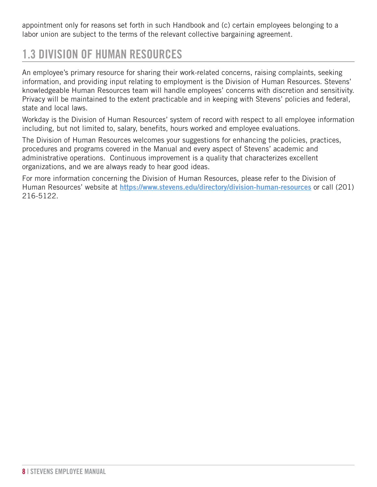<span id="page-7-0"></span>appointment only for reasons set forth in such Handbook and (c) certain employees belonging to a labor union are subject to the terms of the relevant collective bargaining agreement.

### 1.3 DIVISION OF HUMAN RESOURCES

An employee's primary resource for sharing their work-related concerns, raising complaints, seeking information, and providing input relating to employment is the Division of Human Resources. Stevens' knowledgeable Human Resources team will handle employees' concerns with discretion and sensitivity. Privacy will be maintained to the extent practicable and in keeping with Stevens' policies and federal, state and local laws.

Workday is the Division of Human Resources' system of record with respect to all employee information including, but not limited to, salary, benefits, hours worked and employee evaluations.

The Division of Human Resources welcomes your suggestions for enhancing the policies, practices, procedures and programs covered in the Manual and every aspect of Stevens' academic and administrative operations. Continuous improvement is a quality that characterizes excellent organizations, and we are always ready to hear good ideas.

For more information concerning the Division of Human Resources, please refer to the Division of Human Resources' website at **<https://www.stevens.edu/directory/division-human-resources>** or call (201) 216-5122.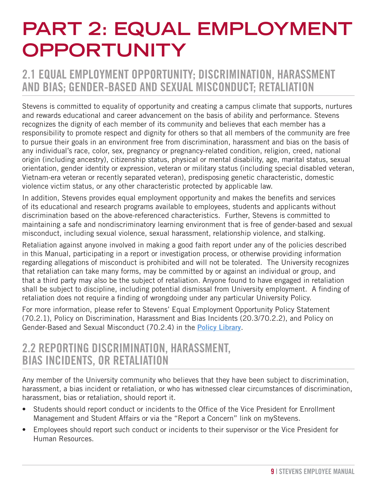## <span id="page-8-0"></span>**PART 2: EQUAL EMPLOYMENT OPPORTUNITY**

### 2.1 EQUAL EMPLOYMENT OPPORTUNITY; DISCRIMINATION, HARASSMENT AND BIAS; GENDER-BASED AND SEXUAL MISCONDUCT; RETALIATION

Stevens is committed to equality of opportunity and creating a campus climate that supports, nurtures and rewards educational and career advancement on the basis of ability and performance. Stevens recognizes the dignity of each member of its community and believes that each member has a responsibility to promote respect and dignity for others so that all members of the community are free to pursue their goals in an environment free from discrimination, harassment and bias on the basis of any individual's race, color, sex, pregnancy or pregnancy-related condition, religion, creed, national origin (including ancestry), citizenship status, physical or mental disability, age, marital status, sexual orientation, gender identity or expression, veteran or military status (including special disabled veteran, Vietnam-era veteran or recently separated veteran), predisposing genetic characteristic, domestic violence victim status, or any other characteristic protected by applicable law.

In addition, Stevens provides equal employment opportunity and makes the benefits and services of its educational and research programs available to employees, students and applicants without discrimination based on the above-referenced characteristics. Further, Stevens is committed to maintaining a safe and nondiscriminatory learning environment that is free of gender-based and sexual misconduct, including sexual violence, sexual harassment, relationship violence, and stalking.

Retaliation against anyone involved in making a good faith report under any of the policies described in this Manual, participating in a report or investigation process, or otherwise providing information regarding allegations of misconduct is prohibited and will not be tolerated. The University recognizes that retaliation can take many forms, may be committed by or against an individual or group, and that a third party may also be the subject of retaliation. Anyone found to have engaged in retaliation shall be subject to discipline, including potential dismissal from University employment. A finding of retaliation does not require a finding of wrongdoing under any particular University Policy.

For more information, please refer to Stevens' Equal Employment Opportunity Policy Statement (70.2.1), Policy on Discrimination, Harassment and Bias Incidents (20.3/70.2.2), and Policy on Gender-Based and Sexual Misconduct (70.2.4) in the **[Policy Library](https://www.stevens.edu/about-stevens/university-policy-library)**.

### 2.2 REPORTING DISCRIMINATION, HARASSMENT, BIAS INCIDENTS, OR RETALIATION

Any member of the University community who believes that they have been subject to discrimination, harassment, a bias incident or retaliation, or who has witnessed clear circumstances of discrimination, harassment, bias or retaliation, should report it.

- Students should report conduct or incidents to the Office of the Vice President for Enrollment Management and Student Affairs or via the "Report a Concern" link on myStevens.
- Employees should report such conduct or incidents to their supervisor or the Vice President for Human Resources.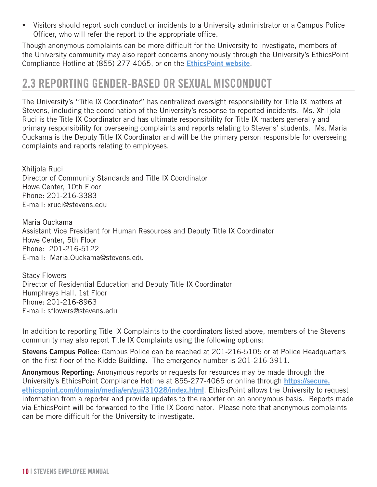<span id="page-9-0"></span>• Visitors should report such conduct or incidents to a University administrator or a Campus Police Officer, who will refer the report to the appropriate office.

Though anonymous complaints can be more difficult for the University to investigate, members of the University community may also report concerns anonymously through the University's EthicsPoint Compliance Hotline at (855) 277-4065, or on the **[EthicsPoint website](https://secure.ethicspoint.com/domain/media/en/gui/31028/index.html)**.

### 2.3 REPORTING GENDER-BASED OR SEXUAL MISCONDUCT

The University's "Title IX Coordinator" has centralized oversight responsibility for Title IX matters at Stevens, including the coordination of the University's response to reported incidents. Ms. Xhiljola Ruci is the Title IX Coordinator and has ultimate responsibility for Title IX matters generally and primary responsibility for overseeing complaints and reports relating to Stevens' students. Ms. Maria Ouckama is the Deputy Title IX Coordinator and will be the primary person responsible for overseeing complaints and reports relating to employees.

Xhiljola Ruci Director of Community Standards and Title IX Coordinator Howe Center, 10th Floor Phone: 201-216-3383 E-mail: xruci@stevens.edu

Maria Ouckama Assistant Vice President for Human Resources and Deputy Title IX Coordinator Howe Center, 5th Floor Phone: 201-216-5122 E-mail: Maria.Ouckama@stevens.edu

Stacy Flowers Director of Residential Education and Deputy Title IX Coordinator Humphreys Hall, 1st Floor Phone: 201-216-8963 E-mail: sflowers@stevens.edu

In addition to reporting Title IX Complaints to the coordinators listed above, members of the Stevens community may also report Title IX Complaints using the following options:

**Stevens Campus Police**: Campus Police can be reached at 201-216-5105 or at Police Headquarters on the first floor of the Kidde Building. The emergency number is 201-216-3911.

**Anonymous Reporting**: Anonymous reports or requests for resources may be made through the University's EthicsPoint Compliance Hotline at 855-277-4065 or online through **https://secure. ethicspoint.com/domain/media/en/gui/31028/index.html**. EthicsPoint allows the University to request information from a reporter and provide updates to the reporter on an anonymous basis. Reports made via EthicsPoint will be forwarded to the Title IX Coordinator. Please note that anonymous complaints can be more difficult for the University to investigate.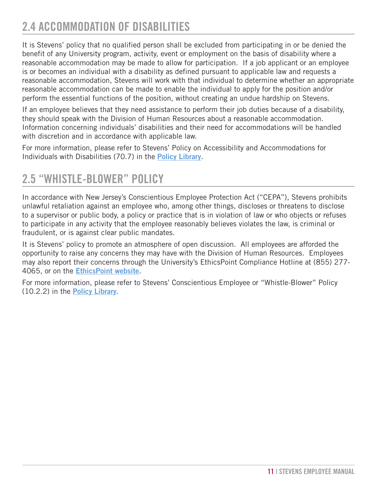### <span id="page-10-0"></span>2.4 ACCOMMODATION OF DISABILITIES

It is Stevens' policy that no qualified person shall be excluded from participating in or be denied the benefit of any University program, activity, event or employment on the basis of disability where a reasonable accommodation may be made to allow for participation. If a job applicant or an employee is or becomes an individual with a disability as defined pursuant to applicable law and requests a reasonable accommodation, Stevens will work with that individual to determine whether an appropriate reasonable accommodation can be made to enable the individual to apply for the position and/or perform the essential functions of the position, without creating an undue hardship on Stevens.

If an employee believes that they need assistance to perform their job duties because of a disability, they should speak with the Division of Human Resources about a reasonable accommodation. Information concerning individuals' disabilities and their need for accommodations will be handled with discretion and in accordance with applicable law.

For more information, please refer to Stevens' Policy on Accessibility and Accommodations for Individuals with Disabilities (70.7) in the **[Policy Library](https://www.stevens.edu/about-stevens/university-policy-library)**.

### 2.5 "WHISTLE-BLOWER" POLICY

In accordance with New Jersey's Conscientious Employee Protection Act ("CEPA"), Stevens prohibits unlawful retaliation against an employee who, among other things, discloses or threatens to disclose to a supervisor or public body, a policy or practice that is in violation of law or who objects or refuses to participate in any activity that the employee reasonably believes violates the law, is criminal or fraudulent, or is against clear public mandates.

It is Stevens' policy to promote an atmosphere of open discussion. All employees are afforded the opportunity to raise any concerns they may have with the Division of Human Resources. Employees may also report their concerns through the University's EthicsPoint Compliance Hotline at (855) 277- 4065, or on the **[EthicsPoint website](https://secure.ethicspoint.com/domain/media/en/gui/31028/index.html)**.

For more information, please refer to Stevens' Conscientious Employee or "Whistle-Blower" Policy (10.2.2) in the **[Policy Library](https://www.stevens.edu/about-stevens/university-policy-library)**.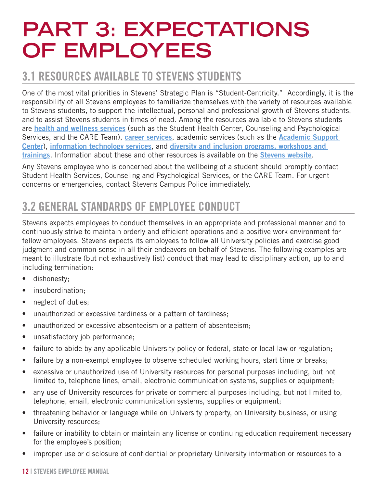## <span id="page-11-0"></span>**PART 3: EXPECTATIONS OF EMPLOYEES**

### 3.1 RESOURCES AVAILABLE TO STEVENS STUDENTS

One of the most vital priorities in Stevens' Strategic Plan is "Student-Centricity." Accordingly, it is the responsibility of all Stevens employees to familiarize themselves with the variety of resources available to Stevens students, to support the intellectual, personal and professional growth of Stevens students, and to assist Stevens students in times of need. Among the resources available to Stevens students are **[health and wellness services](https://www.stevens.edu/campus-life/health-wellness)** (such as the Student Health Center, Counseling and Psychological Services, and the CARE Team), **[career services](https://www.stevens.edu/directory/stevens-career-center)**, academic services (such as the **[Academic Support](https://www.stevens.edu/directory/undergraduate-academics/academic-support-center)  [Center](https://www.stevens.edu/directory/undergraduate-academics/academic-support-center)**), **[information technology services](https://www.stevens.edu/directory/information-technology)**, and **[diversity and inclusion programs, workshops and](https://www.stevens.edu/campus-life/diversity-and-inclusion)  [trainings](https://www.stevens.edu/campus-life/diversity-and-inclusion)**. Information about these and other resources is available on the **[Stevens website](https://www.stevens.edu/)**.

Any Stevens employee who is concerned about the wellbeing of a student should promptly contact Student Health Services, Counseling and Psychological Services, or the CARE Team. For urgent concerns or emergencies, contact Stevens Campus Police immediately.

### 3.2 GENERAL STANDARDS OF EMPLOYEE CONDUCT

Stevens expects employees to conduct themselves in an appropriate and professional manner and to continuously strive to maintain orderly and efficient operations and a positive work environment for fellow employees. Stevens expects its employees to follow all University policies and exercise good judgment and common sense in all their endeavors on behalf of Stevens. The following examples are meant to illustrate (but not exhaustively list) conduct that may lead to disciplinary action, up to and including termination:

- dishonesty;
- insubordination:
- neglect of duties;
- unauthorized or excessive tardiness or a pattern of tardiness;
- unauthorized or excessive absenteeism or a pattern of absenteeism;
- unsatisfactory job performance;
- failure to abide by any applicable University policy or federal, state or local law or regulation;
- failure by a non-exempt employee to observe scheduled working hours, start time or breaks;
- excessive or unauthorized use of University resources for personal purposes including, but not limited to, telephone lines, email, electronic communication systems, supplies or equipment;
- any use of University resources for private or commercial purposes including, but not limited to, telephone, email, electronic communication systems, supplies or equipment;
- threatening behavior or language while on University property, on University business, or using University resources;
- failure or inability to obtain or maintain any license or continuing education requirement necessary for the employee's position;
- improper use or disclosure of confidential or proprietary University information or resources to a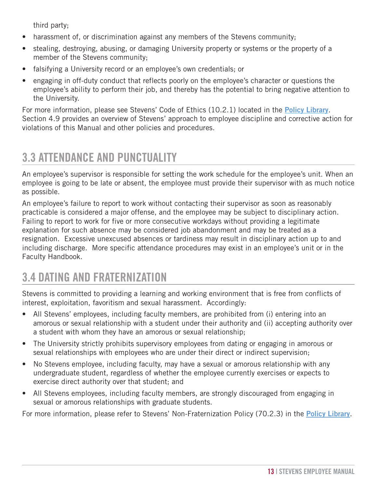<span id="page-12-0"></span>third party;

- harassment of, or discrimination against any members of the Stevens community;
- stealing, destroying, abusing, or damaging University property or systems or the property of a member of the Stevens community;
- falsifying a University record or an employee's own credentials; or
- engaging in off-duty conduct that reflects poorly on the employee's character or questions the employee's ability to perform their job, and thereby has the potential to bring negative attention to the University.

For more information, please see Stevens' Code of Ethics (10.2.1) located in the **[Policy Library](https://www.stevens.edu/about-stevens/university-policy-library)**. Section 4.9 provides an overview of Stevens' approach to employee discipline and corrective action for violations of this Manual and other policies and procedures.

### 3.3 ATTENDANCE AND PUNCTUALITY

An employee's supervisor is responsible for setting the work schedule for the employee's unit. When an employee is going to be late or absent, the employee must provide their supervisor with as much notice as possible.

An employee's failure to report to work without contacting their supervisor as soon as reasonably practicable is considered a major offense, and the employee may be subject to disciplinary action. Failing to report to work for five or more consecutive workdays without providing a legitimate explanation for such absence may be considered job abandonment and may be treated as a resignation. Excessive unexcused absences or tardiness may result in disciplinary action up to and including discharge. More specific attendance procedures may exist in an employee's unit or in the Faculty Handbook.

### 3.4 DATING AND FRATERNIZATION

Stevens is committed to providing a learning and working environment that is free from conflicts of interest, exploitation, favoritism and sexual harassment. Accordingly:

- All Stevens' employees, including faculty members, are prohibited from (i) entering into an amorous or sexual relationship with a student under their authority and (ii) accepting authority over a student with whom they have an amorous or sexual relationship;
- The University strictly prohibits supervisory employees from dating or engaging in amorous or sexual relationships with employees who are under their direct or indirect supervision;
- No Stevens employee, including faculty, may have a sexual or amorous relationship with any undergraduate student, regardless of whether the employee currently exercises or expects to exercise direct authority over that student; and
- All Stevens employees, including faculty members, are strongly discouraged from engaging in sexual or amorous relationships with graduate students.

For more information, please refer to Stevens' Non-Fraternization Policy (70.2.3) in the **[Policy Library](https://www.stevens.edu/about-stevens/university-policy-library)**.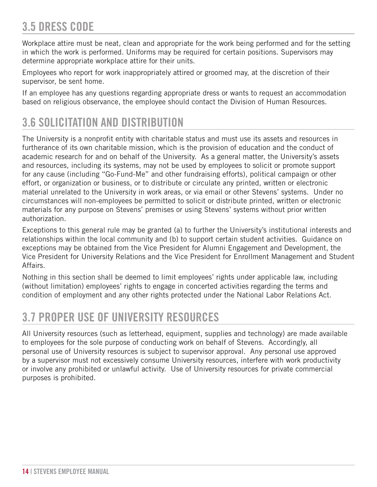### <span id="page-13-0"></span>3.5 DRESS CODE

Workplace attire must be neat, clean and appropriate for the work being performed and for the setting in which the work is performed. Uniforms may be required for certain positions. Supervisors may determine appropriate workplace attire for their units.

Employees who report for work inappropriately attired or groomed may, at the discretion of their supervisor, be sent home.

If an employee has any questions regarding appropriate dress or wants to request an accommodation based on religious observance, the employee should contact the Division of Human Resources.

### 3.6 SOLICITATION AND DISTRIBUTION

The University is a nonprofit entity with charitable status and must use its assets and resources in furtherance of its own charitable mission, which is the provision of education and the conduct of academic research for and on behalf of the University. As a general matter, the University's assets and resources, including its systems, may not be used by employees to solicit or promote support for any cause (including "Go-Fund-Me" and other fundraising efforts), political campaign or other effort, or organization or business, or to distribute or circulate any printed, written or electronic material unrelated to the University in work areas, or via email or other Stevens' systems. Under no circumstances will non-employees be permitted to solicit or distribute printed, written or electronic materials for any purpose on Stevens' premises or using Stevens' systems without prior written authorization.

Exceptions to this general rule may be granted (a) to further the University's institutional interests and relationships within the local community and (b) to support certain student activities. Guidance on exceptions may be obtained from the Vice President for Alumni Engagement and Development, the Vice President for University Relations and the Vice President for Enrollment Management and Student Affairs.

Nothing in this section shall be deemed to limit employees' rights under applicable law, including (without limitation) employees' rights to engage in concerted activities regarding the terms and condition of employment and any other rights protected under the National Labor Relations Act.

### 3.7 PROPER USE OF UNIVERSITY RESOURCES

All University resources (such as letterhead, equipment, supplies and technology) are made available to employees for the sole purpose of conducting work on behalf of Stevens. Accordingly, all personal use of University resources is subject to supervisor approval. Any personal use approved by a supervisor must not excessively consume University resources, interfere with work productivity or involve any prohibited or unlawful activity. Use of University resources for private commercial purposes is prohibited.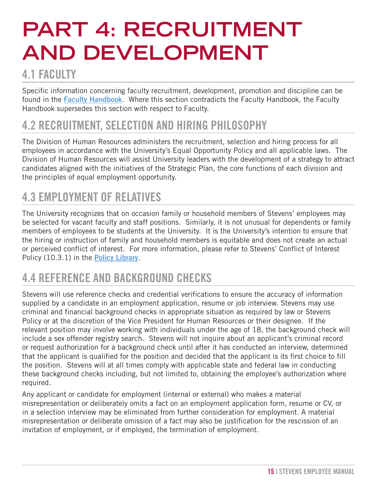# <span id="page-14-0"></span>**PART 4: RECRUITMENT AND DEVELOPMENT**

### **4.1 FACULTY**

Specific information concerning faculty recruitment, development, promotion and discipline can be found in the **[Faculty Handbook](https://www.stevens.edu/school-business/about/aacsb-standards/faculty-handbook)**. Where this section contradicts the Faculty Handbook, the Faculty Handbook supersedes this section with respect to Faculty.

### 4.2 RECRUITMENT, SELECTION AND HIRING PHILOSOPHY

The Division of Human Resources administers the recruitment, selection and hiring process for all employees in accordance with the University's Equal Opportunity Policy and all applicable laws. The Division of Human Resources will assist University leaders with the development of a strategy to attract candidates aligned with the initiatives of the Strategic Plan, the core functions of each division and the principles of equal employment opportunity.

### 4.3 EMPLOYMENT OF RELATIVES

The University recognizes that on occasion family or household members of Stevens' employees may be selected for vacant faculty and staff positions. Similarly, it is not unusual for dependents or family members of employees to be students at the University. It is the University's intention to ensure that the hiring or instruction of family and household members is equitable and does not create an actual or perceived conflict of interest. For more information, please refer to Stevens' Conflict of Interest Policy (10.3.1) in the **[Policy Library](https://www.stevens.edu/about-stevens/university-policy-library)**.

### 4.4 REFERENCE AND BACKGROUND CHECKS

Stevens will use reference checks and credential verifications to ensure the accuracy of information supplied by a candidate in an employment application, resume or job interview. Stevens may use criminal and financial background checks in appropriate situation as required by law or Stevens Policy or at the discretion of the Vice President for Human Resources or their designee. If the relevant position may involve working with individuals under the age of 18, the background check will include a sex offender registry search. Stevens will not inquire about an applicant's criminal record or request authorization for a background check until after it has conducted an interview, determined that the applicant is qualified for the position and decided that the applicant is its first choice to fill the position. Stevens will at all times comply with applicable state and federal law in conducting these background checks including, but not limited to, obtaining the employee's authorization where required.

Any applicant or candidate for employment (internal or external) who makes a material misrepresentation or deliberately omits a fact on an employment application form, resume or CV, or in a selection interview may be eliminated from further consideration for employment. A material misrepresentation or deliberate omission of a fact may also be justification for the rescission of an invitation of employment, or if employed, the termination of employment.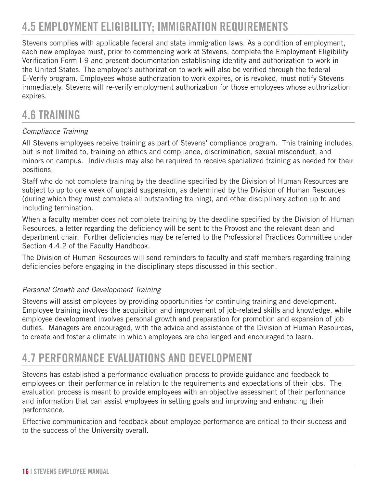### <span id="page-15-0"></span>4.5 EMPLOYMENT ELIGIBILITY; IMMIGRATION REQUIREMENTS

Stevens complies with applicable federal and state immigration laws. As a condition of employment, each new employee must, prior to commencing work at Stevens, complete the Employment Eligibility Verification Form I-9 and present documentation establishing identity and authorization to work in the United States. The employee's authorization to work will also be verified through the federal E-Verify program. Employees whose authorization to work expires, or is revoked, must notify Stevens immediately. Stevens will re-verify employment authorization for those employees whose authorization expires.

### 4.6 TRAINING

#### *Compliance Training*

All Stevens employees receive training as part of Stevens' compliance program. This training includes, but is not limited to, training on ethics and compliance, discrimination, sexual misconduct, and minors on campus. Individuals may also be required to receive specialized training as needed for their positions.

Staff who do not complete training by the deadline specified by the Division of Human Resources are subject to up to one week of unpaid suspension, as determined by the Division of Human Resources (during which they must complete all outstanding training), and other disciplinary action up to and including termination.

When a faculty member does not complete training by the deadline specified by the Division of Human Resources, a letter regarding the deficiency will be sent to the Provost and the relevant dean and department chair. Further deficiencies may be referred to the Professional Practices Committee under Section 4.4.2 of the Faculty Handbook.

The Division of Human Resources will send reminders to faculty and staff members regarding training deficiencies before engaging in the disciplinary steps discussed in this section.

#### *Personal Growth and Development Training*

Stevens will assist employees by providing opportunities for continuing training and development. Employee training involves the acquisition and improvement of job-related skills and knowledge, while employee development involves personal growth and preparation for promotion and expansion of job duties. Managers are encouraged, with the advice and assistance of the Division of Human Resources, to create and foster a climate in which employees are challenged and encouraged to learn.

### 4.7 PERFORMANCE EVALUATIONS AND DEVELOPMENT

Stevens has established a performance evaluation process to provide guidance and feedback to employees on their performance in relation to the requirements and expectations of their jobs. The evaluation process is meant to provide employees with an objective assessment of their performance and information that can assist employees in setting goals and improving and enhancing their performance.

Effective communication and feedback about employee performance are critical to their success and to the success of the University overall.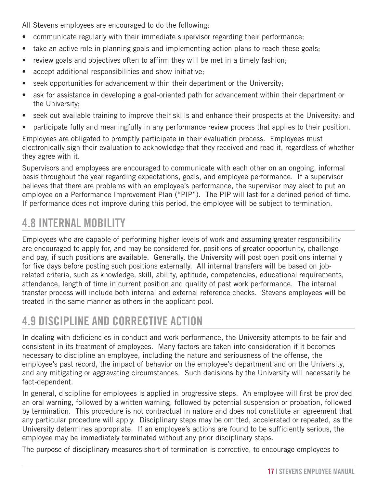<span id="page-16-0"></span>All Stevens employees are encouraged to do the following:

- communicate regularly with their immediate supervisor regarding their performance;
- take an active role in planning goals and implementing action plans to reach these goals;
- review goals and objectives often to affirm they will be met in a timely fashion;
- accept additional responsibilities and show initiative;
- seek opportunities for advancement within their department or the University;
- ask for assistance in developing a goal-oriented path for advancement within their department or the University;
- seek out available training to improve their skills and enhance their prospects at the University; and
- participate fully and meaningfully in any performance review process that applies to their position.

Employees are obligated to promptly participate in their evaluation process. Employees must electronically sign their evaluation to acknowledge that they received and read it, regardless of whether they agree with it.

Supervisors and employees are encouraged to communicate with each other on an ongoing, informal basis throughout the year regarding expectations, goals, and employee performance. If a supervisor believes that there are problems with an employee's performance, the supervisor may elect to put an employee on a Performance Improvement Plan ("PIP"). The PIP will last for a defined period of time. If performance does not improve during this period, the employee will be subject to termination.

### 4.8 INTERNAL MOBILITY

Employees who are capable of performing higher levels of work and assuming greater responsibility are encouraged to apply for, and may be considered for, positions of greater opportunity, challenge and pay, if such positions are available. Generally, the University will post open positions internally for five days before posting such positions externally. All internal transfers will be based on jobrelated criteria, such as knowledge, skill, ability, aptitude, competencies, educational requirements, attendance, length of time in current position and quality of past work performance. The internal transfer process will include both internal and external reference checks. Stevens employees will be treated in the same manner as others in the applicant pool.

### 4.9 DISCIPLINE AND CORRECTIVE ACTION

In dealing with deficiencies in conduct and work performance, the University attempts to be fair and consistent in its treatment of employees. Many factors are taken into consideration if it becomes necessary to discipline an employee, including the nature and seriousness of the offense, the employee's past record, the impact of behavior on the employee's department and on the University, and any mitigating or aggravating circumstances. Such decisions by the University will necessarily be fact-dependent.

In general, discipline for employees is applied in progressive steps. An employee will first be provided an oral warning, followed by a written warning, followed by potential suspension or probation, followed by termination. This procedure is not contractual in nature and does not constitute an agreement that any particular procedure will apply. Disciplinary steps may be omitted, accelerated or repeated, as the University determines appropriate. If an employee's actions are found to be sufficiently serious, the employee may be immediately terminated without any prior disciplinary steps.

The purpose of disciplinary measures short of termination is corrective, to encourage employees to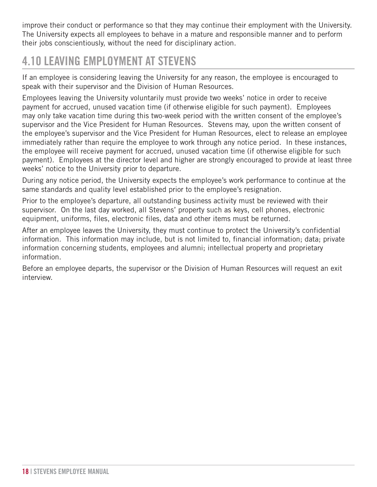<span id="page-17-0"></span>improve their conduct or performance so that they may continue their employment with the University. The University expects all employees to behave in a mature and responsible manner and to perform their jobs conscientiously, without the need for disciplinary action.

### 4.10 LEAVING EMPLOYMENT AT STEVENS

If an employee is considering leaving the University for any reason, the employee is encouraged to speak with their supervisor and the Division of Human Resources.

Employees leaving the University voluntarily must provide two weeks' notice in order to receive payment for accrued, unused vacation time (if otherwise eligible for such payment). Employees may only take vacation time during this two-week period with the written consent of the employee's supervisor and the Vice President for Human Resources. Stevens may, upon the written consent of the employee's supervisor and the Vice President for Human Resources, elect to release an employee immediately rather than require the employee to work through any notice period. In these instances, the employee will receive payment for accrued, unused vacation time (if otherwise eligible for such payment). Employees at the director level and higher are strongly encouraged to provide at least three weeks' notice to the University prior to departure.

During any notice period, the University expects the employee's work performance to continue at the same standards and quality level established prior to the employee's resignation.

Prior to the employee's departure, all outstanding business activity must be reviewed with their supervisor. On the last day worked, all Stevens' property such as keys, cell phones, electronic equipment, uniforms, files, electronic files, data and other items must be returned.

After an employee leaves the University, they must continue to protect the University's confidential information. This information may include, but is not limited to, financial information; data; private information concerning students, employees and alumni; intellectual property and proprietary information.

Before an employee departs, the supervisor or the Division of Human Resources will request an exit interview.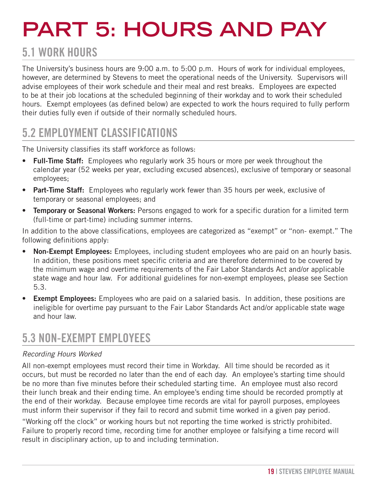# <span id="page-18-0"></span>**PART 5: HOURS AND PAY**

### 5.1 WORK HOURS

The University's business hours are 9:00 a.m. to 5:00 p.m. Hours of work for individual employees, however, are determined by Stevens to meet the operational needs of the University. Supervisors will advise employees of their work schedule and their meal and rest breaks. Employees are expected to be at their job locations at the scheduled beginning of their workday and to work their scheduled hours. Exempt employees (as defined below) are expected to work the hours required to fully perform their duties fully even if outside of their normally scheduled hours.

### 5.2 EMPLOYMENT CLASSIFICATIONS

The University classifies its staff workforce as follows:

- **Full-Time Staff:** Employees who regularly work 35 hours or more per week throughout the calendar year (52 weeks per year, excluding excused absences), exclusive of temporary or seasonal employees;
- **Part-Time Staff:** Employees who regularly work fewer than 35 hours per week, exclusive of temporary or seasonal employees; and
- **Temporary or Seasonal Workers:** Persons engaged to work for a specific duration for a limited term (full-time or part-time) including summer interns.

In addition to the above classifications, employees are categorized as "exempt" or "non- exempt." The following definitions apply:

- **Non-Exempt Employees:** Employees, including student employees who are paid on an hourly basis. In addition, these positions meet specific criteria and are therefore determined to be covered by the minimum wage and overtime requirements of the Fair Labor Standards Act and/or applicable state wage and hour law. For additional guidelines for non-exempt employees, please see Section 5.3.
- **Exempt Employees:** Employees who are paid on a salaried basis. In addition, these positions are ineligible for overtime pay pursuant to the Fair Labor Standards Act and/or applicable state wage and hour law.

### 5.3 NON-EXEMPT EMPLOYEES

#### *Recording Hours Worked*

All non-exempt employees must record their time in Workday. All time should be recorded as it occurs, but must be recorded no later than the end of each day. An employee's starting time should be no more than five minutes before their scheduled starting time. An employee must also record their lunch break and their ending time. An employee's ending time should be recorded promptly at the end of their workday. Because employee time records are vital for payroll purposes, employees must inform their supervisor if they fail to record and submit time worked in a given pay period.

"Working off the clock" or working hours but not reporting the time worked is strictly prohibited. Failure to properly record time, recording time for another employee or falsifying a time record will result in disciplinary action, up to and including termination.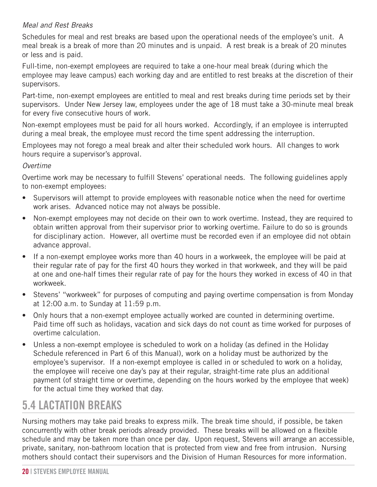#### <span id="page-19-0"></span>*Meal and Rest Breaks*

Schedules for meal and rest breaks are based upon the operational needs of the employee's unit. A meal break is a break of more than 20 minutes and is unpaid. A rest break is a break of 20 minutes or less and is paid.

Full-time, non-exempt employees are required to take a one-hour meal break (during which the employee may leave campus) each working day and are entitled to rest breaks at the discretion of their supervisors.

Part-time, non-exempt employees are entitled to meal and rest breaks during time periods set by their supervisors. Under New Jersey law, employees under the age of 18 must take a 30-minute meal break for every five consecutive hours of work.

Non-exempt employees must be paid for all hours worked. Accordingly, if an employee is interrupted during a meal break, the employee must record the time spent addressing the interruption.

Employees may not forego a meal break and alter their scheduled work hours. All changes to work hours require a supervisor's approval.

#### *Overtime*

Overtime work may be necessary to fulfill Stevens' operational needs. The following guidelines apply to non-exempt employees:

- Supervisors will attempt to provide employees with reasonable notice when the need for overtime work arises. Advanced notice may not always be possible.
- Non-exempt employees may not decide on their own to work overtime. Instead, they are required to obtain written approval from their supervisor prior to working overtime. Failure to do so is grounds for disciplinary action. However, all overtime must be recorded even if an employee did not obtain advance approval.
- If a non-exempt employee works more than 40 hours in a workweek, the employee will be paid at their regular rate of pay for the first 40 hours they worked in that workweek, and they will be paid at one and one-half times their regular rate of pay for the hours they worked in excess of 40 in that workweek.
- Stevens' "workweek" for purposes of computing and paying overtime compensation is from Monday at 12:00 a.m. to Sunday at 11:59 p.m.
- Only hours that a non-exempt employee actually worked are counted in determining overtime. Paid time off such as holidays, vacation and sick days do not count as time worked for purposes of overtime calculation.
- Unless a non-exempt employee is scheduled to work on a holiday (as defined in the Holiday Schedule referenced in Part 6 of this Manual), work on a holiday must be authorized by the employee's supervisor. If a non-exempt employee is called in or scheduled to work on a holiday, the employee will receive one day's pay at their regular, straight-time rate plus an additional payment (of straight time or overtime, depending on the hours worked by the employee that week) for the actual time they worked that day.

### 5.4 LACTATION BREAKS

Nursing mothers may take paid breaks to express milk. The break time should, if possible, be taken concurrently with other break periods already provided. These breaks will be allowed on a flexible schedule and may be taken more than once per day. Upon request, Stevens will arrange an accessible, private, sanitary, non-bathroom location that is protected from view and free from intrusion. Nursing mothers should contact their supervisors and the Division of Human Resources for more information.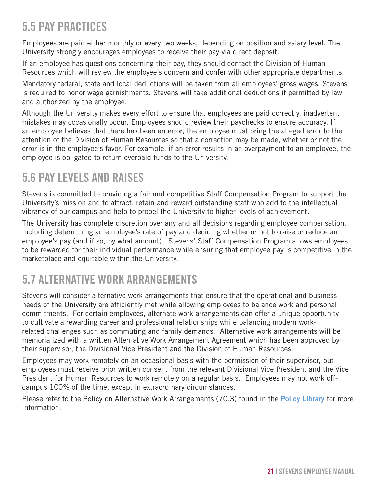### <span id="page-20-0"></span>5.5 PAY PRACTICES

Employees are paid either monthly or every two weeks, depending on position and salary level. The University strongly encourages employees to receive their pay via direct deposit.

If an employee has questions concerning their pay, they should contact the Division of Human Resources which will review the employee's concern and confer with other appropriate departments.

Mandatory federal, state and local deductions will be taken from all employees' gross wages. Stevens is required to honor wage garnishments. Stevens will take additional deductions if permitted by law and authorized by the employee.

Although the University makes every effort to ensure that employees are paid correctly, inadvertent mistakes may occasionally occur. Employees should review their paychecks to ensure accuracy. If an employee believes that there has been an error, the employee must bring the alleged error to the attention of the Division of Human Resources so that a correction may be made, whether or not the error is in the employee's favor. For example, if an error results in an overpayment to an employee, the employee is obligated to return overpaid funds to the University.

### 5.6 PAY LEVELS AND RAISES

Stevens is committed to providing a fair and competitive Staff Compensation Program to support the University's mission and to attract, retain and reward outstanding staff who add to the intellectual vibrancy of our campus and help to propel the University to higher levels of achievement.

The University has complete discretion over any and all decisions regarding employee compensation, including determining an employee's rate of pay and deciding whether or not to raise or reduce an employee's pay (and if so, by what amount). Stevens' Staff Compensation Program allows employees to be rewarded for their individual performance while ensuring that employee pay is competitive in the marketplace and equitable within the University.

### 5.7 ALTERNATIVE WORK ARRANGEMENTS

Stevens will consider alternative work arrangements that ensure that the operational and business needs of the University are efficiently met while allowing employees to balance work and personal commitments. For certain employees, alternate work arrangements can offer a unique opportunity to cultivate a rewarding career and professional relationships while balancing modern workrelated challenges such as commuting and family demands. Alternative work arrangements will be memorialized with a written Alternative Work Arrangement Agreement which has been approved by their supervisor, the Divisional Vice President and the Division of Human Resources.

Employees may work remotely on an occasional basis with the permission of their supervisor, but employees must receive prior written consent from the relevant Divisional Vice President and the Vice President for Human Resources to work remotely on a regular basis. Employees may not work offcampus 100% of the time, except in extraordinary circumstances.

Please refer to the Policy on Alternative Work Arrangements (70.3) found in the **[Policy Library](https://www.stevens.edu/about-stevens/university-policy-library)** for more information.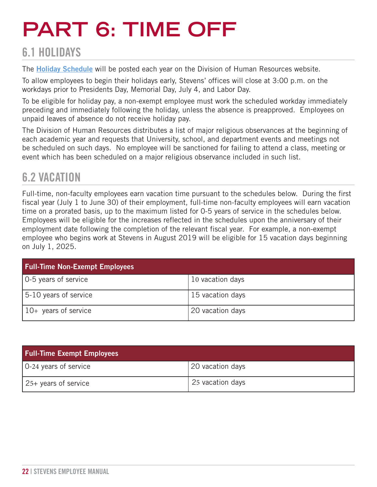# <span id="page-21-0"></span>**PART 6: TIME OFF**

### 6.1 HOLIDAYS

The **[Holiday Schedule](https://www.stevens.edu/directory/division-human-resources/holidays)** will be posted each year on the Division of Human Resources website.

To allow employees to begin their holidays early, Stevens' offices will close at 3:00 p.m. on the workdays prior to Presidents Day, Memorial Day, July 4, and Labor Day.

To be eligible for holiday pay, a non-exempt employee must work the scheduled workday immediately preceding and immediately following the holiday, unless the absence is preapproved. Employees on unpaid leaves of absence do not receive holiday pay.

The Division of Human Resources distributes a list of major religious observances at the beginning of each academic year and requests that University, school, and department events and meetings not be scheduled on such days. No employee will be sanctioned for failing to attend a class, meeting or event which has been scheduled on a major religious observance included in such list.

### 6.2 VACATION

Full-time, non-faculty employees earn vacation time pursuant to the schedules below. During the first fiscal year (July 1 to June 30) of their employment, full-time non-faculty employees will earn vacation time on a prorated basis, up to the maximum listed for 0-5 years of service in the schedules below. Employees will be eligible for the increases reflected in the schedules upon the anniversary of their employment date following the completion of the relevant fiscal year. For example, a non-exempt employee who begins work at Stevens in August 2019 will be eligible for 15 vacation days beginning on July 1, 2025.

| <b>Full-Time Non-Exempt Employees</b> |                  |
|---------------------------------------|------------------|
| 0-5 years of service                  | 10 vacation days |
| 5-10 years of service                 | 15 vacation days |
| $10+$ years of service                | 20 vacation days |

| <b>Full-Time Exempt Employees</b> |                  |  |
|-----------------------------------|------------------|--|
| 0-24 years of service             | 20 vacation days |  |
| 25+ years of service              | 25 vacation days |  |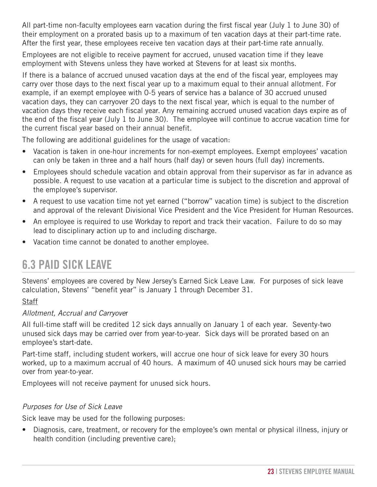<span id="page-22-0"></span>All part-time non-faculty employees earn vacation during the first fiscal year (July 1 to June 30) of their employment on a prorated basis up to a maximum of ten vacation days at their part-time rate. After the first year, these employees receive ten vacation days at their part-time rate annually.

Employees are not eligible to receive payment for accrued, unused vacation time if they leave employment with Stevens unless they have worked at Stevens for at least six months.

If there is a balance of accrued unused vacation days at the end of the fiscal year, employees may carry over those days to the next fiscal year up to a maximum equal to their annual allotment. For example, if an exempt employee with 0-5 years of service has a balance of 30 accrued unused vacation days, they can carryover 20 days to the next fiscal year, which is equal to the number of vacation days they receive each fiscal year. Any remaining accrued unused vacation days expire as of the end of the fiscal year (July 1 to June 30). The employee will continue to accrue vacation time for the current fiscal year based on their annual benefit.

The following are additional guidelines for the usage of vacation:

- Vacation is taken in one-hour increments for non-exempt employees. Exempt employees' vacation can only be taken in three and a half hours (half day) or seven hours (full day) increments.
- Employees should schedule vacation and obtain approval from their supervisor as far in advance as possible. A request to use vacation at a particular time is subject to the discretion and approval of the employee's supervisor.
- A request to use vacation time not yet earned ("borrow" vacation time) is subject to the discretion and approval of the relevant Divisional Vice President and the Vice President for Human Resources.
- An employee is required to use Workday to report and track their vacation. Failure to do so may lead to disciplinary action up to and including discharge.
- Vacation time cannot be donated to another employee.

### 6.3 PAID SICK LEAVE

Stevens' employees are covered by New Jersey's Earned Sick Leave Law. For purposes of sick leave calculation, Stevens' "benefit year" is January 1 through December 31.

#### **Staff**

#### *Allotment, Accrual and Carryove*r

All full-time staff will be credited 12 sick days annually on January 1 of each year. Seventy-two unused sick days may be carried over from year-to-year. Sick days will be prorated based on an employee's start-date.

Part-time staff, including student workers, will accrue one hour of sick leave for every 30 hours worked, up to a maximum accrual of 40 hours. A maximum of 40 unused sick hours may be carried over from year-to-year.

Employees will not receive payment for unused sick hours.

#### *Purposes for Use of Sick Leave*

Sick leave may be used for the following purposes:

• Diagnosis, care, treatment, or recovery for the employee's own mental or physical illness, injury or health condition (including preventive care);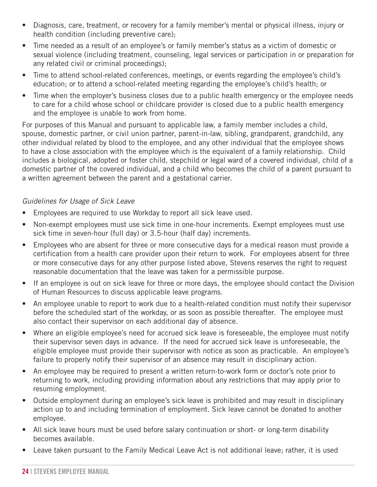- Diagnosis, care, treatment, or recovery for a family member's mental or physical illness, injury or health condition (including preventive care);
- Time needed as a result of an employee's or family member's status as a victim of domestic or sexual violence (including treatment, counseling, legal services or participation in or preparation for any related civil or criminal proceedings);
- Time to attend school-related conferences, meetings, or events regarding the employee's child's education; or to attend a school-related meeting regarding the employee's child's health; or
- Time when the employer's business closes due to a public health emergency or the employee needs to care for a child whose school or childcare provider is closed due to a public health emergency and the employee is unable to work from home.

For purposes of this Manual and pursuant to applicable law, a family member includes a child, spouse, domestic partner, or civil union partner, parent-in-law, sibling, grandparent, grandchild, any other individual related by blood to the employee, and any other individual that the employee shows to have a close association with the employee which is the equivalent of a family relationship. Child includes a biological, adopted or foster child, stepchild or legal ward of a covered individual, child of a domestic partner of the covered individual, and a child who becomes the child of a parent pursuant to a written agreement between the parent and a gestational carrier.

#### *Guidelines for Usage of Sick Leave*

- Employees are required to use Workday to report all sick leave used.
- Non-exempt employees must use sick time in one-hour increments. Exempt employees must use sick time in seven-hour (full day) or 3.5-hour (half day) increments.
- Employees who are absent for three or more consecutive days for a medical reason must provide a certification from a health care provider upon their return to work. For employees absent for three or more consecutive days for any other purpose listed above, Stevens reserves the right to request reasonable documentation that the leave was taken for a permissible purpose.
- If an employee is out on sick leave for three or more days, the employee should contact the Division of Human Resources to discuss applicable leave programs.
- An employee unable to report to work due to a health-related condition must notify their supervisor before the scheduled start of the workday, or as soon as possible thereafter. The employee must also contact their supervisor on each additional day of absence.
- Where an eligible employee's need for accrued sick leave is foreseeable, the employee must notify their supervisor seven days in advance. If the need for accrued sick leave is unforeseeable, the eligible employee must provide their supervisor with notice as soon as practicable. An employee's failure to properly notify their supervisor of an absence may result in disciplinary action.
- An employee may be required to present a written return-to-work form or doctor's note prior to returning to work, including providing information about any restrictions that may apply prior to resuming employment.
- Outside employment during an employee's sick leave is prohibited and may result in disciplinary action up to and including termination of employment. Sick leave cannot be donated to another employee.
- All sick leave hours must be used before salary continuation or short- or long-term disability becomes available.
- Leave taken pursuant to the Family Medical Leave Act is not additional leave; rather, it is used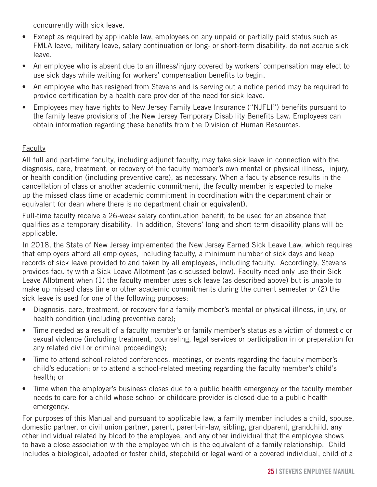concurrently with sick leave.

- Except as required by applicable law, employees on any unpaid or partially paid status such as FMLA leave, military leave, salary continuation or long- or short-term disability, do not accrue sick leave.
- An employee who is absent due to an illness/injury covered by workers' compensation may elect to use sick days while waiting for workers' compensation benefits to begin.
- An employee who has resigned from Stevens and is serving out a notice period may be required to provide certification by a health care provider of the need for sick leave.
- Employees may have rights to New Jersey Family Leave Insurance ("NJFLI") benefits pursuant to the family leave provisions of the New Jersey Temporary Disability Benefits Law. Employees can obtain information regarding these benefits from the Division of Human Resources.

#### **Faculty**

All full and part-time faculty, including adjunct faculty, may take sick leave in connection with the diagnosis, care, treatment, or recovery of the faculty member's own mental or physical illness, injury, or health condition (including preventive care), as necessary. When a faculty absence results in the cancellation of class or another academic commitment, the faculty member is expected to make up the missed class time or academic commitment in coordination with the department chair or equivalent (or dean where there is no department chair or equivalent).

Full-time faculty receive a 26-week salary continuation benefit, to be used for an absence that qualifies as a temporary disability. In addition, Stevens' long and short-term disability plans will be applicable.

In 2018, the State of New Jersey implemented the New Jersey Earned Sick Leave Law, which requires that employers afford all employees, including faculty, a minimum number of sick days and keep records of sick leave provided to and taken by all employees, including faculty. Accordingly, Stevens provides faculty with a Sick Leave Allotment (as discussed below). Faculty need only use their Sick Leave Allotment when (1) the faculty member uses sick leave (as described above) but is unable to make up missed class time or other academic commitments during the current semester or (2) the sick leave is used for one of the following purposes:

- Diagnosis, care, treatment, or recovery for a family member's mental or physical illness, injury, or health condition (including preventive care);
- Time needed as a result of a faculty member's or family member's status as a victim of domestic or sexual violence (including treatment, counseling, legal services or participation in or preparation for any related civil or criminal proceedings);
- Time to attend school-related conferences, meetings, or events regarding the faculty member's child's education; or to attend a school-related meeting regarding the faculty member's child's health; or
- Time when the employer's business closes due to a public health emergency or the faculty member needs to care for a child whose school or childcare provider is closed due to a public health emergency.

For purposes of this Manual and pursuant to applicable law, a family member includes a child, spouse, domestic partner, or civil union partner, parent, parent-in-law, sibling, grandparent, grandchild, any other individual related by blood to the employee, and any other individual that the employee shows to have a close association with the employee which is the equivalent of a family relationship. Child includes a biological, adopted or foster child, stepchild or legal ward of a covered individual, child of a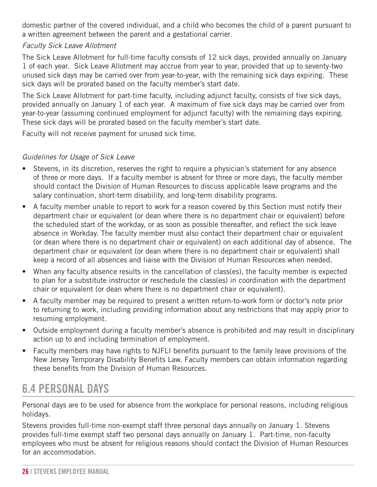<span id="page-25-0"></span>domestic partner of the covered individual, and a child who becomes the child of a parent pursuant to a written agreement between the parent and a gestational carrier.

#### *Faculty Sick Leave Allotment*

The Sick Leave Allotment for full-time faculty consists of 12 sick days, provided annually on January 1 of each year. Sick Leave Allotment may accrue from year to year, provided that up to seventy-two unused sick days may be carried over from year-to-year, with the remaining sick days expiring. These sick days will be prorated based on the faculty member's start date.

The Sick Leave Allotment for part-time faculty, including adjunct faculty, consists of five sick days, provided annually on January 1 of each year. A maximum of five sick days may be carried over from year-to-year (assuming continued employment for adjunct faculty) with the remaining days expiring. These sick days will be prorated based on the faculty member's start date.

Faculty will not receive payment for unused sick time.

#### *Guidelines for Usage of Sick Leave*

- Stevens, in its discretion, reserves the right to require a physician's statement for any absence of three or more days. If a faculty member is absent for three or more days, the faculty member should contact the Division of Human Resources to discuss applicable leave programs and the salary continuation, short-term disability, and long-term disability programs.
- A faculty member unable to report to work for a reason covered by this Section must notify their department chair or equivalent (or dean where there is no department chair or equivalent) before the scheduled start of the workday, or as soon as possible thereafter, and reflect the sick leave absence in Workday. The faculty member must also contact their department chair or equivalent (or dean where there is no department chair or equivalent) on each additional day of absence. The department chair or equivalent (or dean where there is no department chair or equivalent) shall keep a record of all absences and liaise with the Division of Human Resources when needed.
- When any faculty absence results in the cancellation of class(es), the faculty member is expected to plan for a substitute instructor or reschedule the class(es) in coordination with the department chair or equivalent (or dean where there is no department chair or equivalent).
- A faculty member may be required to present a written return-to-work form or doctor's note prior to returning to work, including providing information about any restrictions that may apply prior to resuming employment.
- Outside employment during a faculty member's absence is prohibited and may result in disciplinary action up to and including termination of employment.
- Faculty members may have rights to NJFLI benefits pursuant to the family leave provisions of the New Jersey Temporary Disability Benefits Law. Faculty members can obtain information regarding these benefits from the Division of Human Resources.

### 6.4 PERSONAL DAYS

Personal days are to be used for absence from the workplace for personal reasons, including religious holidays.

Stevens provides full-time non-exempt staff three personal days annually on January 1. Stevens provides full-time exempt staff two personal days annually on January 1. Part-time, non-faculty employees who must be absent for religious reasons should contact the Division of Human Resources for an accommodation.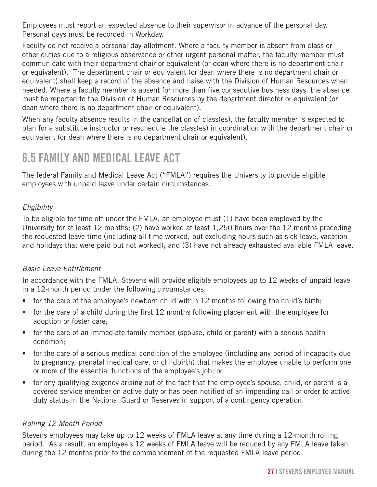<span id="page-26-0"></span>Employees must report an expected absence to their supervisor in advance of the personal day. Personal days must be recorded in Workday.

Faculty do not receive a personal day allotment. Where a faculty member is absent from class or other duties due to a religious observance or other urgent personal matter, the faculty member must communicate with their department chair or equivalent (or dean where there is no department chair or equivalent). The department chair or equivalent (or dean where there is no department chair or equivalent) shall keep a record of the absence and liaise with the Division of Human Resources when needed. Where a faculty member is absent for more than five consecutive business days, the absence must be reported to the Division of Human Resources by the department director or equivalent (or dean where there is no department chair or equivalent).

When any faculty absence results in the cancellation of class(es), the faculty member is expected to plan for a substitute instructor or reschedule the class(es) in coordination with the department chair or equivalent (or dean where there is no department chair or equivalent).

### 6.5 FAMILY AND MEDICAL LEAVE ACT

The federal Family and Medical Leave Act ("FMLA") requires the University to provide eligible employees with unpaid leave under certain circumstances.

#### *Eligibility*

To be eligible for time off under the FMLA, an employee must (1) have been employed by the University for at least 12 months; (2) have worked at least 1,250 hours over the 12 months preceding the requested leave time (including all time worked, but excluding hours such as sick leave, vacation and holidays that were paid but not worked); and (3) have not already exhausted available FMLA leave.

#### *Basic Leave Entitlement*

In accordance with the FMLA, Stevens will provide eligible employees up to 12 weeks of unpaid leave in a 12-month period under the following circumstances:

- for the care of the employee's newborn child within 12 months following the child's birth;
- for the care of a child during the first 12 months following placement with the employee for adoption or foster care;
- for the care of an immediate family member (spouse, child or parent) with a serious health condition;
- for the care of a serious medical condition of the employee (including any period of incapacity due to pregnancy, prenatal medical care, or childbirth) that makes the employee unable to perform one or more of the essential functions of the employee's job; or
- for any qualifying exigency arising out of the fact that the employee's spouse, child, or parent is a covered service member on active duty or has been notified of an impending call or order to active duty status in the National Guard or Reserves in support of a contingency operation.

#### *Rolling 12-Month Period*

Stevens employees may take up to 12 weeks of FMLA leave at any time during a 12-month rolling period. As a result, an employee's 12 weeks of FMLA leave will be reduced by any FMLA leave taken during the 12 months prior to the commencement of the requested FMLA leave period.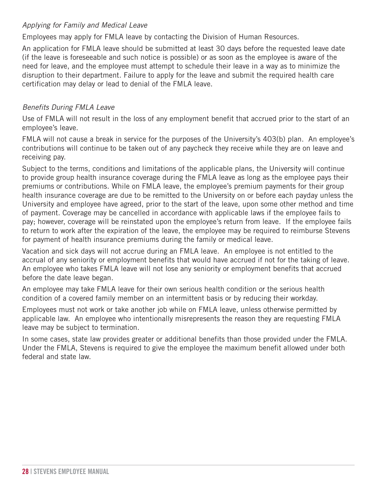#### *Applying for Family and Medical Leave*

Employees may apply for FMLA leave by contacting the Division of Human Resources.

An application for FMLA leave should be submitted at least 30 days before the requested leave date (if the leave is foreseeable and such notice is possible) or as soon as the employee is aware of the need for leave, and the employee must attempt to schedule their leave in a way as to minimize the disruption to their department. Failure to apply for the leave and submit the required health care certification may delay or lead to denial of the FMLA leave.

#### *Benefits During FMLA Leave*

Use of FMLA will not result in the loss of any employment benefit that accrued prior to the start of an employee's leave.

FMLA will not cause a break in service for the purposes of the University's 403(b) plan. An employee's contributions will continue to be taken out of any paycheck they receive while they are on leave and receiving pay.

Subject to the terms, conditions and limitations of the applicable plans, the University will continue to provide group health insurance coverage during the FMLA leave as long as the employee pays their premiums or contributions. While on FMLA leave, the employee's premium payments for their group health insurance coverage are due to be remitted to the University on or before each payday unless the University and employee have agreed, prior to the start of the leave, upon some other method and time of payment. Coverage may be cancelled in accordance with applicable laws if the employee fails to pay; however, coverage will be reinstated upon the employee's return from leave. If the employee fails to return to work after the expiration of the leave, the employee may be required to reimburse Stevens for payment of health insurance premiums during the family or medical leave.

Vacation and sick days will not accrue during an FMLA leave. An employee is not entitled to the accrual of any seniority or employment benefits that would have accrued if not for the taking of leave. An employee who takes FMLA leave will not lose any seniority or employment benefits that accrued before the date leave began.

An employee may take FMLA leave for their own serious health condition or the serious health condition of a covered family member on an intermittent basis or by reducing their workday.

Employees must not work or take another job while on FMLA leave, unless otherwise permitted by applicable law. An employee who intentionally misrepresents the reason they are requesting FMLA leave may be subject to termination.

In some cases, state law provides greater or additional benefits than those provided under the FMLA. Under the FMLA, Stevens is required to give the employee the maximum benefit allowed under both federal and state law.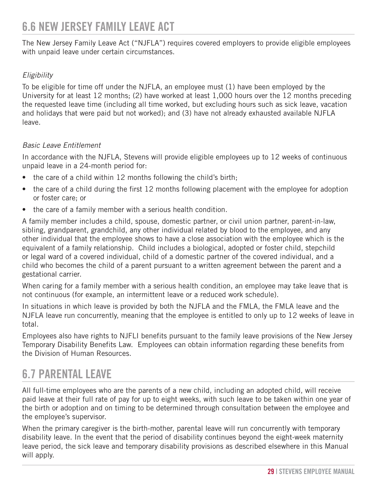### <span id="page-28-0"></span>6.6 NEW JERSEY FAMILY LEAVE ACT

The New Jersey Family Leave Act ("NJFLA") requires covered employers to provide eligible employees with unpaid leave under certain circumstances.

#### *Eligibility*

To be eligible for time off under the NJFLA, an employee must (1) have been employed by the University for at least 12 months; (2) have worked at least 1,000 hours over the 12 months preceding the requested leave time (including all time worked, but excluding hours such as sick leave, vacation and holidays that were paid but not worked); and (3) have not already exhausted available NJFLA leave.

#### *Basic Leave Entitlement*

In accordance with the NJFLA, Stevens will provide eligible employees up to 12 weeks of continuous unpaid leave in a 24-month period for:

- the care of a child within 12 months following the child's birth;
- the care of a child during the first 12 months following placement with the employee for adoption or foster care; or
- the care of a family member with a serious health condition.

A family member includes a child, spouse, domestic partner, or civil union partner, parent-in-law, sibling, grandparent, grandchild, any other individual related by blood to the employee, and any other individual that the employee shows to have a close association with the employee which is the equivalent of a family relationship. Child includes a biological, adopted or foster child, stepchild or legal ward of a covered individual, child of a domestic partner of the covered individual, and a child who becomes the child of a parent pursuant to a written agreement between the parent and a gestational carrier.

When caring for a family member with a serious health condition, an employee may take leave that is not continuous (for example, an intermittent leave or a reduced work schedule).

In situations in which leave is provided by both the NJFLA and the FMLA, the FMLA leave and the NJFLA leave run concurrently, meaning that the employee is entitled to only up to 12 weeks of leave in total.

Employees also have rights to NJFLI benefits pursuant to the family leave provisions of the New Jersey Temporary Disability Benefits Law. Employees can obtain information regarding these benefits from the Division of Human Resources.

### 6.7 PARENTAL LEAVE

All full-time employees who are the parents of a new child, including an adopted child, will receive paid leave at their full rate of pay for up to eight weeks, with such leave to be taken within one year of the birth or adoption and on timing to be determined through consultation between the employee and the employee's supervisor.

When the primary caregiver is the birth-mother, parental leave will run concurrently with temporary disability leave. In the event that the period of disability continues beyond the eight-week maternity leave period, the sick leave and temporary disability provisions as described elsewhere in this Manual will apply.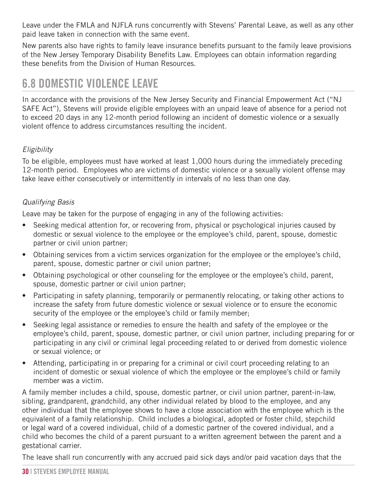<span id="page-29-0"></span>Leave under the FMLA and NJFLA runs concurrently with Stevens' Parental Leave, as well as any other paid leave taken in connection with the same event.

New parents also have rights to family leave insurance benefits pursuant to the family leave provisions of the New Jersey Temporary Disability Benefits Law. Employees can obtain information regarding these benefits from the Division of Human Resources.

### 6.8 DOMESTIC VIOLENCE LEAVE

In accordance with the provisions of the New Jersey Security and Financial Empowerment Act ("NJ SAFE Act"), Stevens will provide eligible employees with an unpaid leave of absence for a period not to exceed 20 days in any 12-month period following an incident of domestic violence or a sexually violent offence to address circumstances resulting the incident.

#### *Eligibility*

To be eligible, employees must have worked at least 1,000 hours during the immediately preceding 12-month period. Employees who are victims of domestic violence or a sexually violent offense may take leave either consecutively or intermittently in intervals of no less than one day.

#### *Qualifying Basis*

Leave may be taken for the purpose of engaging in any of the following activities:

- Seeking medical attention for, or recovering from, physical or psychological injuries caused by domestic or sexual violence to the employee or the employee's child, parent, spouse, domestic partner or civil union partner;
- Obtaining services from a victim services organization for the employee or the employee's child, parent, spouse, domestic partner or civil union partner;
- Obtaining psychological or other counseling for the employee or the employee's child, parent, spouse, domestic partner or civil union partner;
- Participating in safety planning, temporarily or permanently relocating, or taking other actions to increase the safety from future domestic violence or sexual violence or to ensure the economic security of the employee or the employee's child or family member;
- Seeking legal assistance or remedies to ensure the health and safety of the employee or the employee's child, parent, spouse, domestic partner, or civil union partner, including preparing for or participating in any civil or criminal legal proceeding related to or derived from domestic violence or sexual violence; or
- Attending, participating in or preparing for a criminal or civil court proceeding relating to an incident of domestic or sexual violence of which the employee or the employee's child or family member was a victim.

A family member includes a child, spouse, domestic partner, or civil union partner, parent-in-law, sibling, grandparent, grandchild, any other individual related by blood to the employee, and any other individual that the employee shows to have a close association with the employee which is the equivalent of a family relationship. Child includes a biological, adopted or foster child, stepchild or legal ward of a covered individual, child of a domestic partner of the covered individual, and a child who becomes the child of a parent pursuant to a written agreement between the parent and a gestational carrier.

The leave shall run concurrently with any accrued paid sick days and/or paid vacation days that the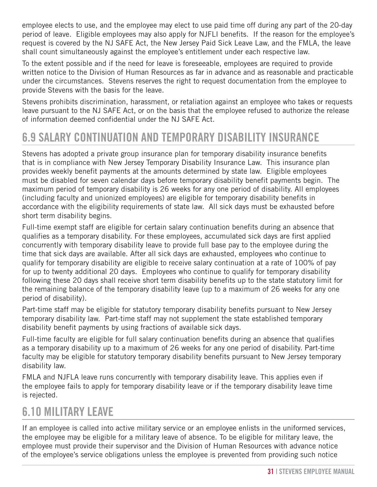<span id="page-30-0"></span>employee elects to use, and the employee may elect to use paid time off during any part of the 20-day period of leave. Eligible employees may also apply for NJFLI benefits. If the reason for the employee's request is covered by the NJ SAFE Act, the New Jersey Paid Sick Leave Law, and the FMLA, the leave shall count simultaneously against the employee's entitlement under each respective law.

To the extent possible and if the need for leave is foreseeable, employees are required to provide written notice to the Division of Human Resources as far in advance and as reasonable and practicable under the circumstances. Stevens reserves the right to request documentation from the employee to provide Stevens with the basis for the leave.

Stevens prohibits discrimination, harassment, or retaliation against an employee who takes or requests leave pursuant to the NJ SAFE Act, or on the basis that the employee refused to authorize the release of information deemed confidential under the NJ SAFE Act.

### 6.9 SALARY CONTINUATION AND TEMPORARY DISABILITY INSURANCE

Stevens has adopted a private group insurance plan for temporary disability insurance benefits that is in compliance with New Jersey Temporary Disability Insurance Law. This insurance plan provides weekly benefit payments at the amounts determined by state law. Eligible employees must be disabled for seven calendar days before temporary disability benefit payments begin. The maximum period of temporary disability is 26 weeks for any one period of disability. All employees (including faculty and unionized employees) are eligible for temporary disability benefits in accordance with the eligibility requirements of state law. All sick days must be exhausted before short term disability begins.

Full-time exempt staff are eligible for certain salary continuation benefits during an absence that qualifies as a temporary disability. For these employees, accumulated sick days are first applied concurrently with temporary disability leave to provide full base pay to the employee during the time that sick days are available. After all sick days are exhausted, employees who continue to qualify for temporary disability are eligible to receive salary continuation at a rate of 100% of pay for up to twenty additional 20 days. Employees who continue to qualify for temporary disability following these 20 days shall receive short term disability benefits up to the state statutory limit for the remaining balance of the temporary disability leave (up to a maximum of 26 weeks for any one period of disability).

Part-time staff may be eligible for statutory temporary disability benefits pursuant to New Jersey temporary disability law. Part-time staff may not supplement the state established temporary disability benefit payments by using fractions of available sick days.

Full-time faculty are eligible for full salary continuation benefits during an absence that qualifies as a temporary disability up to a maximum of 26 weeks for any one period of disability. Part-time faculty may be eligible for statutory temporary disability benefits pursuant to New Jersey temporary disability law.

FMLA and NJFLA leave runs concurrently with temporary disability leave. This applies even if the employee fails to apply for temporary disability leave or if the temporary disability leave time is rejected.

### 6.10 MILITARY LEAVE

If an employee is called into active military service or an employee enlists in the uniformed services, the employee may be eligible for a military leave of absence. To be eligible for military leave, the employee must provide their supervisor and the Division of Human Resources with advance notice of the employee's service obligations unless the employee is prevented from providing such notice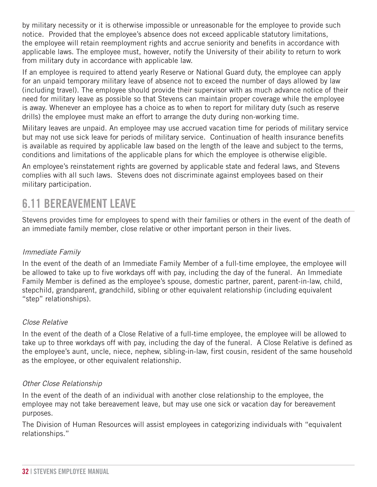<span id="page-31-0"></span>by military necessity or it is otherwise impossible or unreasonable for the employee to provide such notice. Provided that the employee's absence does not exceed applicable statutory limitations, the employee will retain reemployment rights and accrue seniority and benefits in accordance with applicable laws. The employee must, however, notify the University of their ability to return to work from military duty in accordance with applicable law.

If an employee is required to attend yearly Reserve or National Guard duty, the employee can apply for an unpaid temporary military leave of absence not to exceed the number of days allowed by law (including travel). The employee should provide their supervisor with as much advance notice of their need for military leave as possible so that Stevens can maintain proper coverage while the employee is away. Whenever an employee has a choice as to when to report for military duty (such as reserve drills) the employee must make an effort to arrange the duty during non-working time.

Military leaves are unpaid. An employee may use accrued vacation time for periods of military service but may not use sick leave for periods of military service. Continuation of health insurance benefits is available as required by applicable law based on the length of the leave and subject to the terms, conditions and limitations of the applicable plans for which the employee is otherwise eligible.

An employee's reinstatement rights are governed by applicable state and federal laws, and Stevens complies with all such laws. Stevens does not discriminate against employees based on their military participation.

### 6.11 BEREAVEMENT LEAVE

Stevens provides time for employees to spend with their families or others in the event of the death of an immediate family member, close relative or other important person in their lives.

#### *Immediate Family*

In the event of the death of an Immediate Family Member of a full-time employee, the employee will be allowed to take up to five workdays off with pay, including the day of the funeral. An Immediate Family Member is defined as the employee's spouse, domestic partner, parent, parent-in-law, child, stepchild, grandparent, grandchild, sibling or other equivalent relationship (including equivalent "step" relationships).

#### *Close Relative*

In the event of the death of a Close Relative of a full-time employee, the employee will be allowed to take up to three workdays off with pay, including the day of the funeral. A Close Relative is defined as the employee's aunt, uncle, niece, nephew, sibling-in-law, first cousin, resident of the same household as the employee, or other equivalent relationship.

#### *Other Close Relationship*

In the event of the death of an individual with another close relationship to the employee, the employee may not take bereavement leave, but may use one sick or vacation day for bereavement purposes.

The Division of Human Resources will assist employees in categorizing individuals with "equivalent relationships."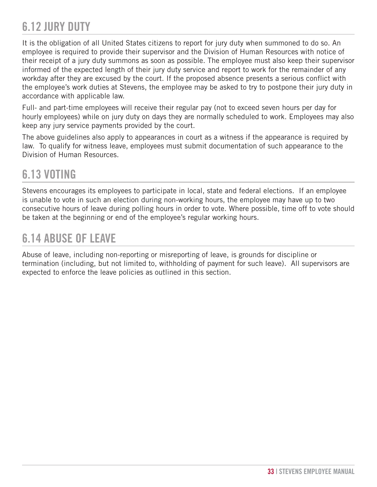### <span id="page-32-0"></span>6.12 JURY DUTY

It is the obligation of all United States citizens to report for jury duty when summoned to do so. An employee is required to provide their supervisor and the Division of Human Resources with notice of their receipt of a jury duty summons as soon as possible. The employee must also keep their supervisor informed of the expected length of their jury duty service and report to work for the remainder of any workday after they are excused by the court. If the proposed absence presents a serious conflict with the employee's work duties at Stevens, the employee may be asked to try to postpone their jury duty in accordance with applicable law.

Full- and part-time employees will receive their regular pay (not to exceed seven hours per day for hourly employees) while on jury duty on days they are normally scheduled to work. Employees may also keep any jury service payments provided by the court.

The above guidelines also apply to appearances in court as a witness if the appearance is required by law. To qualify for witness leave, employees must submit documentation of such appearance to the Division of Human Resources.

### 6.13 VOTING

Stevens encourages its employees to participate in local, state and federal elections. If an employee is unable to vote in such an election during non-working hours, the employee may have up to two consecutive hours of leave during polling hours in order to vote. Where possible, time off to vote should be taken at the beginning or end of the employee's regular working hours.

### 6.14 ABUSE OF LEAVE

Abuse of leave, including non-reporting or misreporting of leave, is grounds for discipline or termination (including, but not limited to, withholding of payment for such leave). All supervisors are expected to enforce the leave policies as outlined in this section.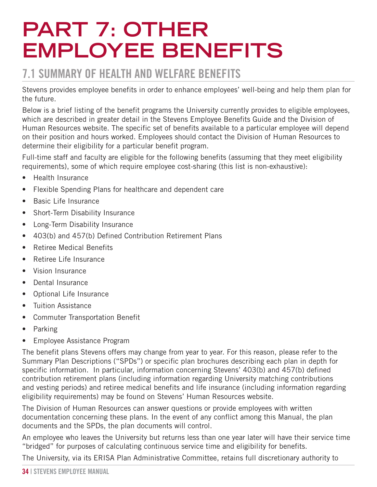## <span id="page-33-0"></span>**PART 7: OTHER EMPLOYEE BENEFITS**

### 7.1 SUMMARY OF HEALTH AND WELFARE BENEFITS

Stevens provides employee benefits in order to enhance employees' well-being and help them plan for the future.

Below is a brief listing of the benefit programs the University currently provides to eligible employees, which are described in greater detail in the Stevens Employee Benefits Guide and the Division of Human Resources website. The specific set of benefits available to a particular employee will depend on their position and hours worked. Employees should contact the Division of Human Resources to determine their eligibility for a particular benefit program.

Full-time staff and faculty are eligible for the following benefits (assuming that they meet eligibility requirements), some of which require employee cost-sharing (this list is non-exhaustive):

- Health Insurance
- Flexible Spending Plans for healthcare and dependent care
- Basic Life Insurance
- Short-Term Disability Insurance
- Long-Term Disability Insurance
- 403(b) and 457(b) Defined Contribution Retirement Plans
- Retiree Medical Benefits
- Retiree Life Insurance
- Vision Insurance
- Dental Insurance
- Optional Life Insurance
- Tuition Assistance
- Commuter Transportation Benefit
- Parking
- Employee Assistance Program

The benefit plans Stevens offers may change from year to year. For this reason, please refer to the Summary Plan Descriptions ("SPDs") or specific plan brochures describing each plan in depth for specific information. In particular, information concerning Stevens' 403(b) and 457(b) defined contribution retirement plans (including information regarding University matching contributions and vesting periods) and retiree medical benefits and life insurance (including information regarding eligibility requirements) may be found on Stevens' Human Resources website.

The Division of Human Resources can answer questions or provide employees with written documentation concerning these plans. In the event of any conflict among this Manual, the plan documents and the SPDs, the plan documents will control.

An employee who leaves the University but returns less than one year later will have their service time "bridged" for purposes of calculating continuous service time and eligibility for benefits.

The University, via its ERISA Plan Administrative Committee, retains full discretionary authority to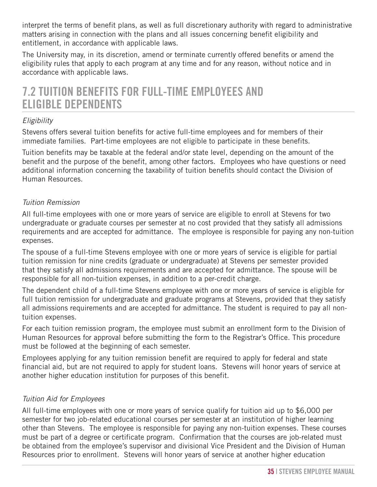<span id="page-34-0"></span>interpret the terms of benefit plans, as well as full discretionary authority with regard to administrative matters arising in connection with the plans and all issues concerning benefit eligibility and entitlement, in accordance with applicable laws.

The University may, in its discretion, amend or terminate currently offered benefits or amend the eligibility rules that apply to each program at any time and for any reason, without notice and in accordance with applicable laws.

### 7.2 TUITION BENEFITS FOR FULL-TIME EMPLOYEES AND ELIGIBLE DEPENDENTS

#### *Eligibility*

Stevens offers several tuition benefits for active full-time employees and for members of their immediate families. Part-time employees are not eligible to participate in these benefits.

Tuition benefits may be taxable at the federal and/or state level, depending on the amount of the benefit and the purpose of the benefit, among other factors. Employees who have questions or need additional information concerning the taxability of tuition benefits should contact the Division of Human Resources.

#### *Tuition Remission*

All full-time employees with one or more years of service are eligible to enroll at Stevens for two undergraduate or graduate courses per semester at no cost provided that they satisfy all admissions requirements and are accepted for admittance. The employee is responsible for paying any non-tuition expenses.

The spouse of a full-time Stevens employee with one or more years of service is eligible for partial tuition remission for nine credits (graduate or undergraduate) at Stevens per semester provided that they satisfy all admissions requirements and are accepted for admittance. The spouse will be responsible for all non-tuition expenses, in addition to a per-credit charge.

The dependent child of a full-time Stevens employee with one or more years of service is eligible for full tuition remission for undergraduate and graduate programs at Stevens, provided that they satisfy all admissions requirements and are accepted for admittance. The student is required to pay all nontuition expenses.

For each tuition remission program, the employee must submit an enrollment form to the Division of Human Resources for approval before submitting the form to the Registrar's Office. This procedure must be followed at the beginning of each semester.

Employees applying for any tuition remission benefit are required to apply for federal and state financial aid, but are not required to apply for student loans. Stevens will honor years of service at another higher education institution for purposes of this benefit.

#### *Tuition Aid for Employees*

All full-time employees with one or more years of service qualify for tuition aid up to \$6,000 per semester for two job-related educational courses per semester at an institution of higher learning other than Stevens. The employee is responsible for paying any non-tuition expenses. These courses must be part of a degree or certificate program. Confirmation that the courses are job-related must be obtained from the employee's supervisor and divisional Vice President and the Division of Human Resources prior to enrollment. Stevens will honor years of service at another higher education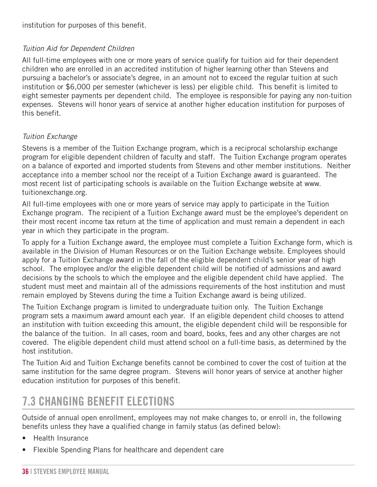<span id="page-35-0"></span>institution for purposes of this benefit.

#### *Tuition Aid for Dependent Children*

All full-time employees with one or more years of service qualify for tuition aid for their dependent children who are enrolled in an accredited institution of higher learning other than Stevens and pursuing a bachelor's or associate's degree, in an amount not to exceed the regular tuition at such institution or \$6,000 per semester (whichever is less) per eligible child. This benefit is limited to eight semester payments per dependent child. The employee is responsible for paying any non-tuition expenses. Stevens will honor years of service at another higher education institution for purposes of this benefit.

#### *Tuition Exchange*

Stevens is a member of the Tuition Exchange program, which is a reciprocal scholarship exchange program for eligible dependent children of faculty and staff. The Tuition Exchange program operates on a balance of exported and imported students from Stevens and other member institutions. Neither acceptance into a member school nor the receipt of a Tuition Exchange award is guaranteed. The most recent list of participating schools is available on the Tuition Exchange website at www. tuitionexchange.org.

All full-time employees with one or more years of service may apply to participate in the Tuition Exchange program. The recipient of a Tuition Exchange award must be the employee's dependent on their most recent income tax return at the time of application and must remain a dependent in each year in which they participate in the program.

To apply for a Tuition Exchange award, the employee must complete a Tuition Exchange form, which is available in the Division of Human Resources or on the Tuition Exchange website. Employees should apply for a Tuition Exchange award in the fall of the eligible dependent child's senior year of high school. The employee and/or the eligible dependent child will be notified of admissions and award decisions by the schools to which the employee and the eligible dependent child have applied. The student must meet and maintain all of the admissions requirements of the host institution and must remain employed by Stevens during the time a Tuition Exchange award is being utilized.

The Tuition Exchange program is limited to undergraduate tuition only. The Tuition Exchange program sets a maximum award amount each year. If an eligible dependent child chooses to attend an institution with tuition exceeding this amount, the eligible dependent child will be responsible for the balance of the tuition. In all cases, room and board, books, fees and any other charges are not covered. The eligible dependent child must attend school on a full-time basis, as determined by the host institution.

The Tuition Aid and Tuition Exchange benefits cannot be combined to cover the cost of tuition at the same institution for the same degree program. Stevens will honor years of service at another higher education institution for purposes of this benefit.

### 7.3 CHANGING BENEFIT ELECTIONS

Outside of annual open enrollment, employees may not make changes to, or enroll in, the following benefits unless they have a qualified change in family status (as defined below):

- Health Insurance
- Flexible Spending Plans for healthcare and dependent care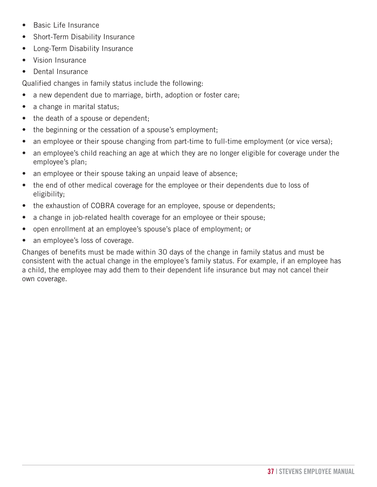- Basic Life Insurance
- Short-Term Disability Insurance
- Long-Term Disability Insurance
- Vision Insurance
- Dental Insurance

Qualified changes in family status include the following:

- a new dependent due to marriage, birth, adoption or foster care;
- a change in marital status;
- the death of a spouse or dependent;
- the beginning or the cessation of a spouse's employment;
- an employee or their spouse changing from part-time to full-time employment (or vice versa);
- an employee's child reaching an age at which they are no longer eligible for coverage under the employee's plan;
- an employee or their spouse taking an unpaid leave of absence;
- the end of other medical coverage for the employee or their dependents due to loss of eligibility;
- the exhaustion of COBRA coverage for an employee, spouse or dependents;
- a change in job-related health coverage for an employee or their spouse;
- open enrollment at an employee's spouse's place of employment; or
- an employee's loss of coverage.

Changes of benefits must be made within 30 days of the change in family status and must be consistent with the actual change in the employee's family status. For example, if an employee has a child, the employee may add them to their dependent life insurance but may not cancel their own coverage.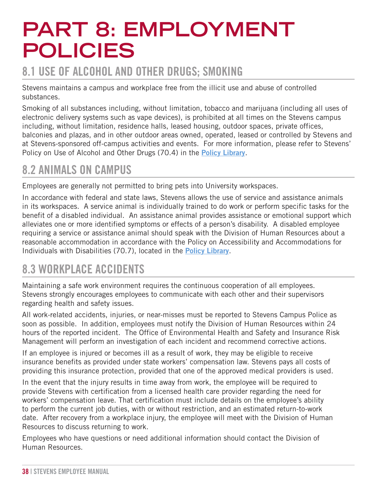# <span id="page-37-0"></span>**PART 8: EMPLOYMENT POLICIES**

### 8.1 USE OF ALCOHOL AND OTHER DRUGS; SMOKING

Stevens maintains a campus and workplace free from the illicit use and abuse of controlled substances.

Smoking of all substances including, without limitation, tobacco and marijuana (including all uses of electronic delivery systems such as vape devices), is prohibited at all times on the Stevens campus including, without limitation, residence halls, leased housing, outdoor spaces, private offices, balconies and plazas, and in other outdoor areas owned, operated, leased or controlled by Stevens and at Stevens-sponsored off-campus activities and events. For more information, please refer to Stevens' Policy on Use of Alcohol and Other Drugs (70.4) in the **[Policy Library](https://www.stevens.edu/about-stevens/university-policy-library)**.

### 8.2 ANIMALS ON CAMPUS

Employees are generally not permitted to bring pets into University workspaces.

In accordance with federal and state laws, Stevens allows the use of service and assistance animals in its workspaces. A service animal is individually trained to do work or perform specific tasks for the benefit of a disabled individual. An assistance animal provides assistance or emotional support which alleviates one or more identified symptoms or effects of a person's disability. A disabled employee requiring a service or assistance animal should speak with the Division of Human Resources about a reasonable accommodation in accordance with the Policy on Accessibility and Accommodations for Individuals with Disabilities (70.7), located in the **[Policy Library](https://www.stevens.edu/about-stevens/university-policy-library)**.

### 8.3 WORKPLACE ACCIDENTS

Maintaining a safe work environment requires the continuous cooperation of all employees. Stevens strongly encourages employees to communicate with each other and their supervisors regarding health and safety issues.

All work-related accidents, injuries, or near-misses must be reported to Stevens Campus Police as soon as possible. In addition, employees must notify the Division of Human Resources within 24 hours of the reported incident. The Office of Environmental Health and Safety and Insurance Risk Management will perform an investigation of each incident and recommend corrective actions.

If an employee is injured or becomes ill as a result of work, they may be eligible to receive insurance benefits as provided under state workers' compensation law. Stevens pays all costs of providing this insurance protection, provided that one of the approved medical providers is used.

In the event that the injury results in time away from work, the employee will be required to provide Stevens with certification from a licensed health care provider regarding the need for workers' compensation leave. That certification must include details on the employee's ability to perform the current job duties, with or without restriction, and an estimated return-to-work date. After recovery from a workplace injury, the employee will meet with the Division of Human Resources to discuss returning to work.

Employees who have questions or need additional information should contact the Division of Human Resources.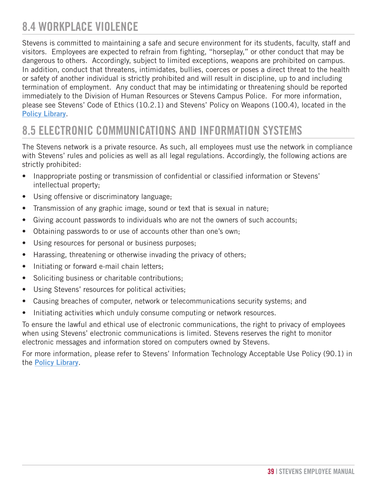### <span id="page-38-0"></span>8.4 WORKPLACE VIOLENCE

Stevens is committed to maintaining a safe and secure environment for its students, faculty, staff and visitors. Employees are expected to refrain from fighting, "horseplay," or other conduct that may be dangerous to others. Accordingly, subject to limited exceptions, weapons are prohibited on campus. In addition, conduct that threatens, intimidates, bullies, coerces or poses a direct threat to the health or safety of another individual is strictly prohibited and will result in discipline, up to and including termination of employment. Any conduct that may be intimidating or threatening should be reported immediately to the Division of Human Resources or Stevens Campus Police. For more information, please see Stevens' Code of Ethics (10.2.1) and Stevens' Policy on Weapons (100.4), located in the **[Policy Library](https://www.stevens.edu/about-stevens/university-policy-library)**.

### 8.5 ELECTRONIC COMMUNICATIONS AND INFORMATION SYSTEMS

The Stevens network is a private resource. As such, all employees must use the network in compliance with Stevens' rules and policies as well as all legal regulations. Accordingly, the following actions are strictly prohibited:

- Inappropriate posting or transmission of confidential or classified information or Stevens' intellectual property;
- Using offensive or discriminatory language;
- Transmission of any graphic image, sound or text that is sexual in nature;
- Giving account passwords to individuals who are not the owners of such accounts;
- Obtaining passwords to or use of accounts other than one's own;
- Using resources for personal or business purposes;
- Harassing, threatening or otherwise invading the privacy of others;
- Initiating or forward e-mail chain letters;
- Soliciting business or charitable contributions;
- Using Stevens' resources for political activities;
- Causing breaches of computer, network or telecommunications security systems; and
- Initiating activities which unduly consume computing or network resources.

To ensure the lawful and ethical use of electronic communications, the right to privacy of employees when using Stevens' electronic communications is limited. Stevens reserves the right to monitor electronic messages and information stored on computers owned by Stevens.

For more information, please refer to Stevens' Information Technology Acceptable Use Policy (90.1) in the **[Policy Library](https://www.stevens.edu/about-stevens/university-policy-library)**.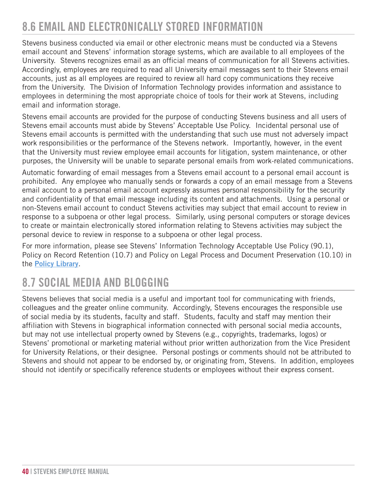### <span id="page-39-0"></span>8.6 EMAIL AND ELECTRONICALLY STORED INFORMATION

Stevens business conducted via email or other electronic means must be conducted via a Stevens email account and Stevens' information storage systems, which are available to all employees of the University. Stevens recognizes email as an official means of communication for all Stevens activities. Accordingly, employees are required to read all University email messages sent to their Stevens email accounts, just as all employees are required to review all hard copy communications they receive from the University. The Division of Information Technology provides information and assistance to employees in determining the most appropriate choice of tools for their work at Stevens, including email and information storage.

Stevens email accounts are provided for the purpose of conducting Stevens business and all users of Stevens email accounts must abide by Stevens' Acceptable Use Policy. Incidental personal use of Stevens email accounts is permitted with the understanding that such use must not adversely impact work responsibilities or the performance of the Stevens network. Importantly, however, in the event that the University must review employee email accounts for litigation, system maintenance, or other purposes, the University will be unable to separate personal emails from work-related communications.

Automatic forwarding of email messages from a Stevens email account to a personal email account is prohibited. Any employee who manually sends or forwards a copy of an email message from a Stevens email account to a personal email account expressly assumes personal responsibility for the security and confidentiality of that email message including its content and attachments. Using a personal or non-Stevens email account to conduct Stevens activities may subject that email account to review in response to a subpoena or other legal process. Similarly, using personal computers or storage devices to create or maintain electronically stored information relating to Stevens activities may subject the personal device to review in response to a subpoena or other legal process.

For more information, please see Stevens' Information Technology Acceptable Use Policy (90.1), Policy on Record Retention (10.7) and Policy on Legal Process and Document Preservation (10.10) in the **[Policy Library](https://www.stevens.edu/about-stevens/university-policy-library)**.

### 8.7 SOCIAL MEDIA AND BLOGGING

Stevens believes that social media is a useful and important tool for communicating with friends, colleagues and the greater online community. Accordingly, Stevens encourages the responsible use of social media by its students, faculty and staff. Students, faculty and staff may mention their affiliation with Stevens in biographical information connected with personal social media accounts, but may not use intellectual property owned by Stevens (e.g., copyrights, trademarks, logos) or Stevens' promotional or marketing material without prior written authorization from the Vice President for University Relations, or their designee. Personal postings or comments should not be attributed to Stevens and should not appear to be endorsed by, or originating from, Stevens. In addition, employees should not identify or specifically reference students or employees without their express consent.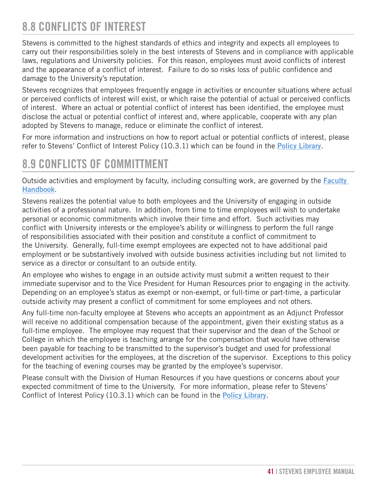### <span id="page-40-0"></span>8.8 CONFLICTS OF INTEREST

Stevens is committed to the highest standards of ethics and integrity and expects all employees to carry out their responsibilities solely in the best interests of Stevens and in compliance with applicable laws, regulations and University policies. For this reason, employees must avoid conflicts of interest and the appearance of a conflict of interest. Failure to do so risks loss of public confidence and damage to the University's reputation.

Stevens recognizes that employees frequently engage in activities or encounter situations where actual or perceived conflicts of interest will exist, or which raise the potential of actual or perceived conflicts of interest. Where an actual or potential conflict of interest has been identified, the employee must disclose the actual or potential conflict of interest and, where applicable, cooperate with any plan adopted by Stevens to manage, reduce or eliminate the conflict of interest.

For more information and instructions on how to report actual or potential conflicts of interest, please refer to Stevens' Conflict of Interest Policy (10.3.1) which can be found in the **[Policy Library](https://www.stevens.edu/about-stevens/university-policy-library)**.

### 8.9 CONFLICTS OF COMMITTMENT

Outside activities and employment by faculty, including consulting work, are governed by the **[Faculty](https://www.stevens.edu/school-business/about/aacsb-standards/faculty-handbook)  [Handbook](https://www.stevens.edu/school-business/about/aacsb-standards/faculty-handbook)**.

Stevens realizes the potential value to both employees and the University of engaging in outside activities of a professional nature. In addition, from time to time employees will wish to undertake personal or economic commitments which involve their time and effort. Such activities may conflict with University interests or the employee's ability or willingness to perform the full range of responsibilities associated with their position and constitute a conflict of commitment to the University. Generally, full-time exempt employees are expected not to have additional paid employment or be substantively involved with outside business activities including but not limited to service as a director or consultant to an outside entity.

An employee who wishes to engage in an outside activity must submit a written request to their immediate supervisor and to the Vice President for Human Resources prior to engaging in the activity. Depending on an employee's status as exempt or non-exempt, or full-time or part-time, a particular outside activity may present a conflict of commitment for some employees and not others.

Any full-time non-faculty employee at Stevens who accepts an appointment as an Adjunct Professor will receive no additional compensation because of the appointment, given their existing status as a full-time employee. The employee may request that their supervisor and the dean of the School or College in which the employee is teaching arrange for the compensation that would have otherwise been payable for teaching to be transmitted to the supervisor's budget and used for professional development activities for the employees, at the discretion of the supervisor. Exceptions to this policy for the teaching of evening courses may be granted by the employee's supervisor.

Please consult with the Division of Human Resources if you have questions or concerns about your expected commitment of time to the University. For more information, please refer to Stevens' Conflict of Interest Policy (10.3.1) which can be found in the **[Policy Library](https://www.stevens.edu/about-stevens/university-policy-library)**.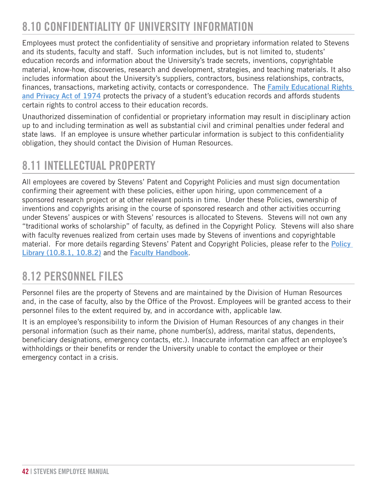### <span id="page-41-0"></span>8.10 CONFIDENTIALITY OF UNIVERSITY INFORMATION

Employees must protect the confidentiality of sensitive and proprietary information related to Stevens and its students, faculty and staff. Such information includes, but is not limited to, students' education records and information about the University's trade secrets, inventions, copyrightable material, know-how, discoveries, research and development, strategies, and teaching materials. It also includes information about the University's suppliers, contractors, business relationships, contracts, finances, transactions, marketing activity, contacts or correspondence. The **[Family Educational Rights](https://www.stevens.edu/sites/stevens_edu/files/Student_Privacy_Rights_%28FERPA%29_Policy_10.10.2018.pdf)  [and Privacy Act of 1974](https://www.stevens.edu/sites/stevens_edu/files/Student_Privacy_Rights_%28FERPA%29_Policy_10.10.2018.pdf)** protects the privacy of a student's education records and affords students certain rights to control access to their education records.

Unauthorized dissemination of confidential or proprietary information may result in disciplinary action up to and including termination as well as substantial civil and criminal penalties under federal and state laws. If an employee is unsure whether particular information is subject to this confidentiality obligation, they should contact the Division of Human Resources.

### 8.11 INTELLECTUAL PROPERTY

All employees are covered by Stevens' Patent and Copyright Policies and must sign documentation confirming their agreement with these policies, either upon hiring, upon commencement of a sponsored research project or at other relevant points in time. Under these Policies, ownership of inventions and copyrights arising in the course of sponsored research and other activities occurring under Stevens' auspices or with Stevens' resources is allocated to Stevens. Stevens will not own any "traditional works of scholarship" of faculty, as defined in the Copyright Policy. Stevens will also share with faculty revenues realized from certain uses made by Stevens of inventions and copyrightable material. For more details regarding Stevens' Patent and Copyright Policies, please refer to the **[Policy](https://www.stevens.edu/about-stevens/university-policy-library)  [Library \(10.8.1, 10.8.2\)](https://www.stevens.edu/about-stevens/university-policy-library)** and the **[Faculty Handbook](https://www.stevens.edu/school-business/about/aacsb-standards/faculty-handbook)**.

### 8.12 PERSONNEL FILES

Personnel files are the property of Stevens and are maintained by the Division of Human Resources and, in the case of faculty, also by the Office of the Provost. Employees will be granted access to their personnel files to the extent required by, and in accordance with, applicable law.

It is an employee's responsibility to inform the Division of Human Resources of any changes in their personal information (such as their name, phone number(s), address, marital status, dependents, beneficiary designations, emergency contacts, etc.). Inaccurate information can affect an employee's withholdings or their benefits or render the University unable to contact the employee or their emergency contact in a crisis.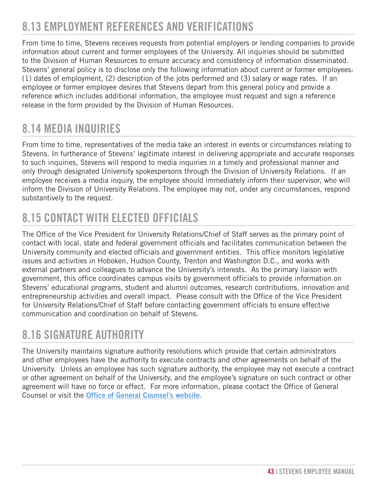### <span id="page-42-0"></span>8.13 EMPLOYMENT REFERENCES AND VERIFICATIONS

From time to time, Stevens receives requests from potential employers or lending companies to provide information about current and former employees of the University. All inquiries should be submitted to the Division of Human Resources to ensure accuracy and consistency of information disseminated. Stevens' general policy is to disclose only the following information about current or former employees: (1) dates of employment, (2) description of the jobs performed and (3) salary or wage rates. If an employee or former employee desires that Stevens depart from this general policy and provide a reference which includes additional information, the employee must request and sign a reference release in the form provided by the Division of Human Resources.

### 8.14 MEDIA INQUIRIES

From time to time, representatives of the media take an interest in events or circumstances relating to Stevens. In furtherance of Stevens' legitimate interest in delivering appropriate and accurate responses to such inquiries, Stevens will respond to media inquiries in a timely and professional manner and only through designated University spokespersons through the Division of University Relations. If an employee receives a media inquiry, the employee should immediately inform their supervisor, who will inform the Division of University Relations. The employee may not, under any circumstances, respond substantively to the request.

### 8.15 CONTACT WITH ELECTED OFFICIALS

The Office of the Vice President for University Relations/Chief of Staff serves as the primary point of contact with local, state and federal government officials and facilitates communication between the University community and elected officials and government entities. This office monitors legislative issues and activities in Hoboken, Hudson County, Trenton and Washington D.C., and works with external partners and colleagues to advance the University's interests. As the primary liaison with government, this office coordinates campus visits by government officials to provide information on Stevens' educational programs, student and alumni outcomes, research contributions, innovation and entrepreneurship activities and overall impact. Please consult with the Office of the Vice President for University Relations/Chief of Staff before contacting government officials to ensure effective communication and coordination on behalf of Stevens.

### 8.16 SIGNATURE AUTHORITY

The University maintains signature authority resolutions which provide that certain administrators and other employees have the authority to execute contracts and other agreements on behalf of the University. Unless an employee has such signature authority, the employee may not execute a contract or other agreement on behalf of the University, and the employee's signature on such contract or other agreement will have no force or effect. For more information, please contact the Office of General Counsel or visit the **[Office of General Counsel's website](https://www.stevens.edu/directory/office-general-counsel)**.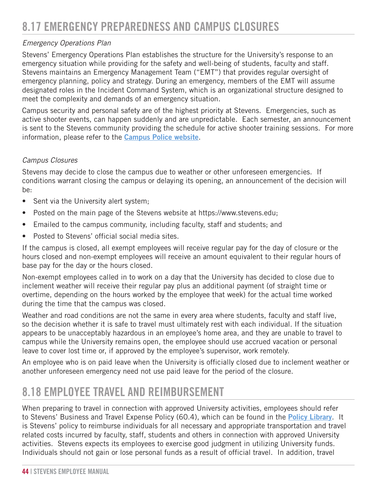#### <span id="page-43-0"></span>*Emergency Operations Plan*

Stevens' Emergency Operations Plan establishes the structure for the University's response to an emergency situation while providing for the safety and well-being of students, faculty and staff. Stevens maintains an Emergency Management Team ("EMT") that provides regular oversight of emergency planning, policy and strategy. During an emergency, members of the EMT will assume designated roles in the Incident Command System, which is an organizational structure designed to meet the complexity and demands of an emergency situation.

Campus security and personal safety are of the highest priority at Stevens. Emergencies, such as active shooter events, can happen suddenly and are unpredictable. Each semester, an announcement is sent to the Stevens community providing the schedule for active shooter training sessions. For more information, please refer to the **[Campus Police website](https://www.stevens.edu/directory/campus-police/what-do-if-active-shooter-event-takes-place-campus)**.

#### *Campus Closures*

Stevens may decide to close the campus due to weather or other unforeseen emergencies. If conditions warrant closing the campus or delaying its opening, an announcement of the decision will be:

- Sent via the University alert system;
- Posted on the main page of the Stevens website at https://www.stevens.edu;
- Emailed to the campus community, including faculty, staff and students; and
- Posted to Stevens' official social media sites.

If the campus is closed, all exempt employees will receive regular pay for the day of closure or the hours closed and non-exempt employees will receive an amount equivalent to their regular hours of base pay for the day or the hours closed.

Non-exempt employees called in to work on a day that the University has decided to close due to inclement weather will receive their regular pay plus an additional payment (of straight time or overtime, depending on the hours worked by the employee that week) for the actual time worked during the time that the campus was closed.

Weather and road conditions are not the same in every area where students, faculty and staff live, so the decision whether it is safe to travel must ultimately rest with each individual. If the situation appears to be unacceptably hazardous in an employee's home area, and they are unable to travel to campus while the University remains open, the employee should use accrued vacation or personal leave to cover lost time or, if approved by the employee's supervisor, work remotely.

An employee who is on paid leave when the University is officially closed due to inclement weather or another unforeseen emergency need not use paid leave for the period of the closure.

### 8.18 EMPLOYEE TRAVEL AND REIMBURSEMENT

When preparing to travel in connection with approved University activities, employees should refer to Stevens' Business and Travel Expense Policy (60.4), which can be found in the **[Policy Library](https://www.stevens.edu/about-stevens/university-policy-library)**. It is Stevens' policy to reimburse individuals for all necessary and appropriate transportation and travel related costs incurred by faculty, staff, students and others in connection with approved University activities. Stevens expects its employees to exercise good judgment in utilizing University funds. Individuals should not gain or lose personal funds as a result of official travel. In addition, travel